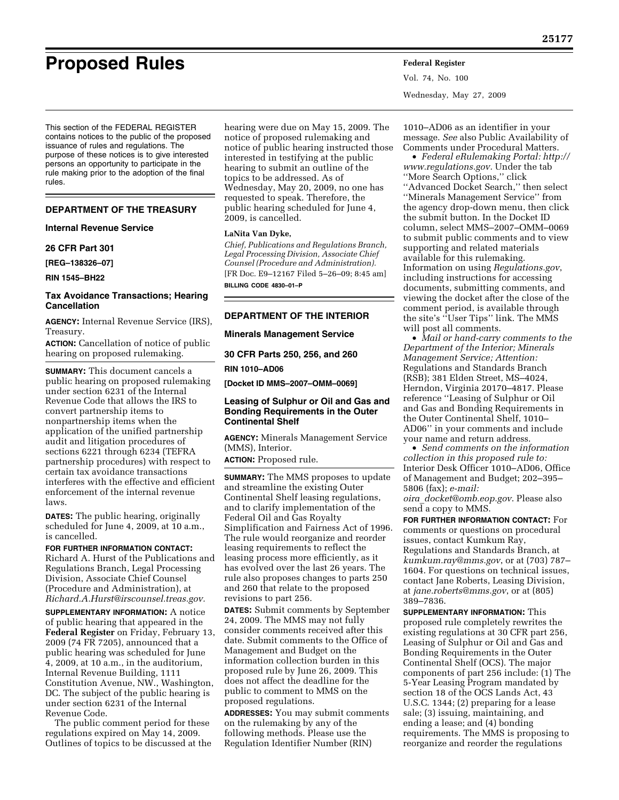# **Proposed Rules Federal Register**

Vol. 74, No. 100 Wednesday, May 27, 2009

This section of the FEDERAL REGISTER contains notices to the public of the proposed issuance of rules and regulations. The purpose of these notices is to give interested persons an opportunity to participate in the rule making prior to the adoption of the final rules.

# **DEPARTMENT OF THE TREASURY**

# **Internal Revenue Service**

# **26 CFR Part 301**

**[REG–138326–07]** 

**RIN 1545–BH22** 

# **Tax Avoidance Transactions; Hearing Cancellation**

**AGENCY:** Internal Revenue Service (IRS), Treasury.

**ACTION:** Cancellation of notice of public hearing on proposed rulemaking.

**SUMMARY:** This document cancels a public hearing on proposed rulemaking under section 6231 of the Internal Revenue Code that allows the IRS to convert partnership items to nonpartnership items when the application of the unified partnership audit and litigation procedures of sections 6221 through 6234 (TEFRA partnership procedures) with respect to certain tax avoidance transactions interferes with the effective and efficient enforcement of the internal revenue laws.

**DATES:** The public hearing, originally scheduled for June 4, 2009, at 10 a.m., is cancelled.

**FOR FURTHER INFORMATION CONTACT:**  Richard A. Hurst of the Publications and Regulations Branch, Legal Processing Division, Associate Chief Counsel (Procedure and Administration), at *[Richard.A.Hurst@irscounsel.treas.gov.](mailto:Richard.A.Hurst@irscounsel.treas.gov)* 

**SUPPLEMENTARY INFORMATION:** A notice of public hearing that appeared in the **Federal Register** on Friday, February 13, 2009 (74 FR 7205), announced that a public hearing was scheduled for June 4, 2009, at 10 a.m., in the auditorium, Internal Revenue Building, 1111 Constitution Avenue, NW., Washington, DC. The subject of the public hearing is under section 6231 of the Internal Revenue Code.

The public comment period for these regulations expired on May 14, 2009. Outlines of topics to be discussed at the

hearing were due on May 15, 2009. The notice of proposed rulemaking and notice of public hearing instructed those interested in testifying at the public hearing to submit an outline of the topics to be addressed. As of Wednesday, May 20, 2009, no one has requested to speak. Therefore, the public hearing scheduled for June 4, 2009, is cancelled.

# **LaNita Van Dyke,**

*Chief, Publications and Regulations Branch, Legal Processing Division, Associate Chief Counsel (Procedure and Administration).*  [FR Doc. E9–12167 Filed 5–26–09; 8:45 am] **BILLING CODE 4830–01–P** 

# **DEPARTMENT OF THE INTERIOR**

**Minerals Management Service** 

**30 CFR Parts 250, 256, and 260** 

**RIN 1010–AD06** 

**[Docket ID MMS–2007–OMM–0069]** 

# **Leasing of Sulphur or Oil and Gas and Bonding Requirements in the Outer Continental Shelf**

**AGENCY:** Minerals Management Service (MMS), Interior.

**ACTION:** Proposed rule.

**SUMMARY:** The MMS proposes to update and streamline the existing Outer Continental Shelf leasing regulations, and to clarify implementation of the Federal Oil and Gas Royalty Simplification and Fairness Act of 1996. The rule would reorganize and reorder leasing requirements to reflect the leasing process more efficiently, as it has evolved over the last 26 years. The rule also proposes changes to parts 250 and 260 that relate to the proposed revisions to part 256.

**DATES:** Submit comments by September 24, 2009. The MMS may not fully consider comments received after this date. Submit comments to the Office of Management and Budget on the information collection burden in this proposed rule by June 26, 2009. This does not affect the deadline for the public to comment to MMS on the proposed regulations.

**ADDRESSES:** You may submit comments on the rulemaking by any of the following methods. Please use the Regulation Identifier Number (RIN)

1010–AD06 as an identifier in your message. *See* also Public Availability of Comments under Procedural Matters.

• *[Federal eRulemaking Portal: http://](http://www.regulations.gov)  www.regulations.gov.* Under the tab ''More Search Options,'' click ''Advanced Docket Search,'' then select ''Minerals Management Service'' from the agency drop-down menu, then click the submit button. In the Docket ID column, select MMS–2007–OMM–0069 to submit public comments and to view supporting and related materials available for this rulemaking. Information on using *Regulations.gov*, including instructions for accessing documents, submitting comments, and viewing the docket after the close of the comment period, is available through the site's ''User Tips'' link. The MMS will post all comments.

• *Mail or hand-carry comments to the Department of the Interior; Minerals Management Service; Attention:*  Regulations and Standards Branch (RSB); 381 Elden Street, MS–4024, Herndon, Virginia 20170–4817. Please reference ''Leasing of Sulphur or Oil and Gas and Bonding Requirements in the Outer Continental Shelf, 1010– AD06'' in your comments and include your name and return address.

• *Send comments on the information collection in this proposed rule to:*  Interior Desk Officer 1010–AD06, Office of Management and Budget; 202–395– 5806 (fax); *e-mail:* 

*oira*\_*[docket@omb.eop.gov](mailto:oira_docket@omb.eop.gov)*. Please also send a copy to MMS.

**FOR FURTHER INFORMATION CONTACT:** For comments or questions on procedural issues, contact Kumkum Ray, Regulations and Standards Branch, at *[kumkum.ray@mms.gov](mailto:kumkum.ray@mms.gov)*, or at (703) 787– 1604. For questions on technical issues, contact Jane Roberts, Leasing Division, at *[jane.roberts@mms.gov](mailto:jane.roberts@mms.gov)*, or at (805) 389–7836.

**SUPPLEMENTARY INFORMATION:** This proposed rule completely rewrites the existing regulations at 30 CFR part 256, Leasing of Sulphur or Oil and Gas and Bonding Requirements in the Outer Continental Shelf (OCS). The major components of part 256 include: (1) The 5-Year Leasing Program mandated by section 18 of the OCS Lands Act, 43 U.S.C. 1344; (2) preparing for a lease sale; (3) issuing, maintaining, and ending a lease; and (4) bonding requirements. The MMS is proposing to reorganize and reorder the regulations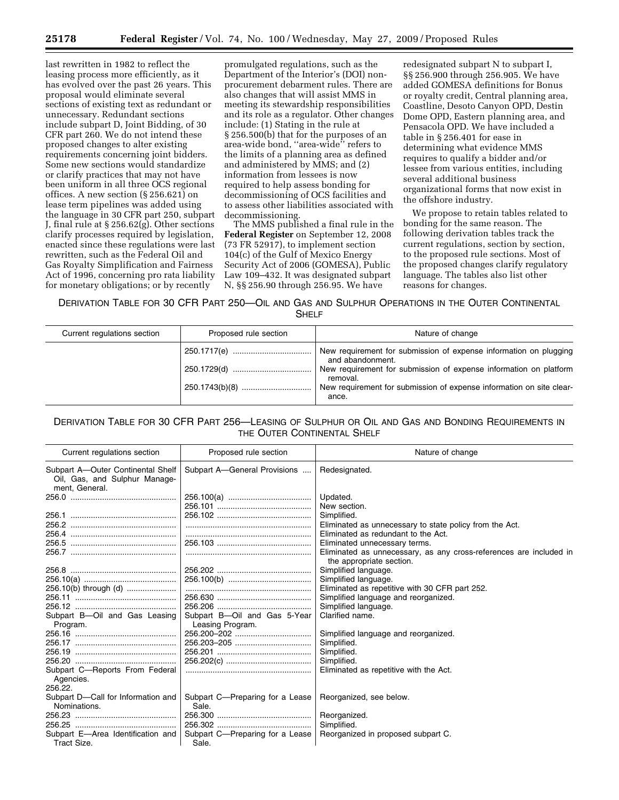last rewritten in 1982 to reflect the leasing process more efficiently, as it has evolved over the past 26 years. This proposal would eliminate several sections of existing text as redundant or unnecessary. Redundant sections include subpart D, Joint Bidding, of 30 CFR part 260. We do not intend these proposed changes to alter existing requirements concerning joint bidders. Some new sections would standardize or clarify practices that may not have been uniform in all three OCS regional offices. A new section (§ 256.621) on lease term pipelines was added using the language in 30 CFR part 250, subpart J, final rule at § 256.62(g). Other sections clarify processes required by legislation, enacted since these regulations were last rewritten, such as the Federal Oil and Gas Royalty Simplification and Fairness Act of 1996, concerning pro rata liability for monetary obligations; or by recently

promulgated regulations, such as the Department of the Interior's (DOI) nonprocurement debarment rules. There are also changes that will assist MMS in meeting its stewardship responsibilities and its role as a regulator. Other changes include: (1) Stating in the rule at § 256.500(b) that for the purposes of an area-wide bond, ''area-wide'' refers to the limits of a planning area as defined and administered by MMS; and (2) information from lessees is now required to help assess bonding for decommissioning of OCS facilities and to assess other liabilities associated with decommissioning.

The MMS published a final rule in the **Federal Register** on September 12, 2008 (73 FR 52917), to implement section 104(c) of the Gulf of Mexico Energy Security Act of 2006 (GOMESA), Public Law 109–432. It was designated subpart N, §§ 256.90 through 256.95. We have

redesignated subpart N to subpart I, §§ 256.900 through 256.905. We have added GOMESA definitions for Bonus or royalty credit, Central planning area, Coastline, Desoto Canyon OPD, Destin Dome OPD, Eastern planning area, and Pensacola OPD. We have included a table in § 256.401 for ease in determining what evidence MMS requires to qualify a bidder and/or lessee from various entities, including several additional business organizational forms that now exist in the offshore industry.

We propose to retain tables related to bonding for the same reason. The following derivation tables track the current regulations, section by section, to the proposed rule sections. Most of the proposed changes clarify regulatory language. The tables also list other reasons for changes.

DERIVATION TABLE FOR 30 CFR PART 250—OIL AND GAS AND SULPHUR OPERATIONS IN THE OUTER CONTINENTAL SHELF

| Current regulations section | Proposed rule section | Nature of change                                                                      |
|-----------------------------|-----------------------|---------------------------------------------------------------------------------------|
|                             |                       | New requirement for submission of expense information on plugging<br>and abandonment. |
|                             |                       | New requirement for submission of expense information on platform<br>removal.         |
|                             | 250.1743(b)(8)        | New requirement for submission of expense information on site clear-<br>ance.         |

# DERIVATION TABLE FOR 30 CFR PART 256—LEASING OF SULPHUR OR OIL AND GAS AND BONDING REQUIREMENTS IN THE OUTER CONTINENTAL SHELF

| Current regulations section                                                          | Proposed rule section           | Nature of change                                                                               |
|--------------------------------------------------------------------------------------|---------------------------------|------------------------------------------------------------------------------------------------|
| Subpart A-Outer Continental Shelf<br>Oil, Gas, and Sulphur Manage-<br>ment. General. | Subpart A-General Provisions    | Redesignated.                                                                                  |
|                                                                                      |                                 | Updated.                                                                                       |
|                                                                                      |                                 | New section.                                                                                   |
|                                                                                      |                                 | Simplified.                                                                                    |
|                                                                                      |                                 | Eliminated as unnecessary to state policy from the Act.                                        |
|                                                                                      |                                 | Eliminated as redundant to the Act.                                                            |
|                                                                                      |                                 | Eliminated unnecessary terms.                                                                  |
|                                                                                      |                                 | Eliminated as unnecessary, as any cross-references are included in<br>the appropriate section. |
|                                                                                      |                                 | Simplified language.                                                                           |
|                                                                                      |                                 | Simplified language.                                                                           |
| 256.10(b) through (d)                                                                |                                 | Eliminated as repetitive with 30 CFR part 252.                                                 |
|                                                                                      |                                 | Simplified language and reorganized.                                                           |
|                                                                                      |                                 | Simplified language.                                                                           |
| Subpart B-Oil and Gas Leasing                                                        | Subpart B-Oil and Gas 5-Year    | Clarified name.                                                                                |
| Program.                                                                             | Leasing Program.                |                                                                                                |
|                                                                                      |                                 | Simplified language and reorganized.                                                           |
|                                                                                      |                                 | Simplified.                                                                                    |
|                                                                                      |                                 | Simplified.                                                                                    |
|                                                                                      |                                 | Simplified.                                                                                    |
| Subpart C-Reports From Federal                                                       |                                 | Eliminated as repetitive with the Act.                                                         |
| Agencies.                                                                            |                                 |                                                                                                |
| 256.22.                                                                              |                                 |                                                                                                |
| Subpart D-Call for Information and                                                   | Subpart C-Preparing for a Lease | Reorganized, see below.                                                                        |
| Nominations.                                                                         | Sale.                           |                                                                                                |
|                                                                                      |                                 | Reorganized.                                                                                   |
|                                                                                      |                                 | Simplified.                                                                                    |
| Subpart E-Area Identification and                                                    | Subpart C-Preparing for a Lease | Reorganized in proposed subpart C.                                                             |
| Tract Size.                                                                          | Sale.                           |                                                                                                |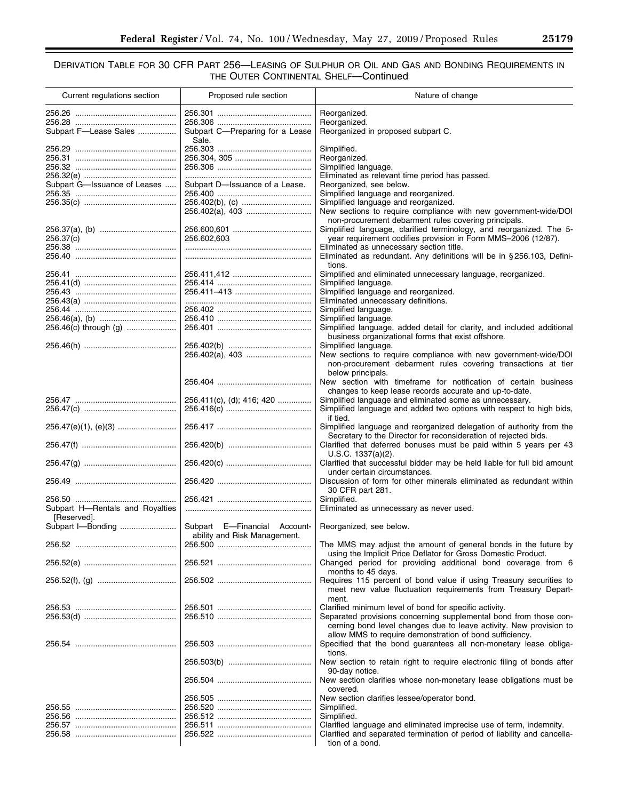# DERIVATION TABLE FOR 30 CFR PART 256—LEASING OF SULPHUR OR OIL AND GAS AND BONDING REQUIREMENTS IN THE OUTER CONTINENTAL SHELF—Continued

| Current regulations section                    | Proposed rule section                    | Nature of change                                                                                                                                      |
|------------------------------------------------|------------------------------------------|-------------------------------------------------------------------------------------------------------------------------------------------------------|
|                                                |                                          | Reorganized.                                                                                                                                          |
|                                                |                                          | Reorganized.                                                                                                                                          |
| Subpart F-Lease Sales                          | Subpart C-Preparing for a Lease<br>Sale. | Reorganized in proposed subpart C.                                                                                                                    |
|                                                |                                          | Simplified.                                                                                                                                           |
|                                                |                                          | Reorganized.                                                                                                                                          |
|                                                |                                          | Simplified language.                                                                                                                                  |
|                                                |                                          | Eliminated as relevant time period has passed.                                                                                                        |
| Subpart G-Issuance of Leases                   | Subpart D-Issuance of a Lease.           | Reorganized, see below.                                                                                                                               |
|                                                |                                          | Simplified language and reorganized.                                                                                                                  |
|                                                |                                          | Simplified language and reorganized.                                                                                                                  |
|                                                |                                          | New sections to require compliance with new government-wide/DOI<br>non-procurement debarment rules covering principals.                               |
|                                                |                                          | Simplified language, clarified terminology, and reorganized. The 5-                                                                                   |
| 256.37(c)                                      | 256.602,603                              | year requirement codifies provision in Form MMS-2006 (12/87).                                                                                         |
|                                                |                                          | Eliminated as unnecessary section title.                                                                                                              |
|                                                |                                          | Eliminated as redundant. Any definitions will be in §256.103, Defini-                                                                                 |
|                                                |                                          | tions.                                                                                                                                                |
|                                                |                                          | Simplified and eliminated unnecessary language, reorganized.                                                                                          |
|                                                |                                          |                                                                                                                                                       |
|                                                |                                          | Simplified language.                                                                                                                                  |
|                                                |                                          | Simplified language and reorganized.                                                                                                                  |
|                                                |                                          | Eliminated unnecessary definitions.                                                                                                                   |
|                                                |                                          | Simplified language.                                                                                                                                  |
| 256.46(a), (b)                                 |                                          | Simplified language.                                                                                                                                  |
| 256.46(c) through (g)                          |                                          | Simplified language, added detail for clarity, and included additional                                                                                |
|                                                |                                          | business organizational forms that exist offshore.                                                                                                    |
|                                                |                                          | Simplified language.                                                                                                                                  |
|                                                |                                          | New sections to require compliance with new government-wide/DOI<br>non-procurement debarment rules covering transactions at tier<br>below principals. |
|                                                |                                          | New section with timeframe for notification of certain business                                                                                       |
|                                                |                                          | changes to keep lease records accurate and up-to-date.                                                                                                |
|                                                | 256.411(c), (d); 416; 420                | Simplified language and eliminated some as unnecessary.                                                                                               |
|                                                |                                          | Simplified language and added two options with respect to high bids,                                                                                  |
|                                                |                                          | if tied.                                                                                                                                              |
|                                                |                                          | Simplified language and reorganized delegation of authority from the                                                                                  |
|                                                |                                          | Secretary to the Director for reconsideration of rejected bids.                                                                                       |
|                                                |                                          | Clarified that deferred bonuses must be paid within 5 years per 43                                                                                    |
|                                                |                                          | $U.S.C. 1337(a)(2)$ .                                                                                                                                 |
|                                                |                                          | Clarified that successful bidder may be held liable for full bid amount                                                                               |
|                                                |                                          | under certain circumstances.                                                                                                                          |
|                                                |                                          | Discussion of form for other minerals eliminated as redundant within                                                                                  |
|                                                |                                          | 30 CFR part 281.                                                                                                                                      |
|                                                |                                          | Simplified.                                                                                                                                           |
| Subpart H-Rentals and Royalties<br>[Reserved]. |                                          | Eliminated as unnecessary as never used.                                                                                                              |
| Subpart I-Bonding                              | Subpart E-Financial Account-             | Reorganized, see below.                                                                                                                               |
|                                                | ability and Risk Management.             |                                                                                                                                                       |
|                                                |                                          | The MMS may adjust the amount of general bonds in the future by                                                                                       |
|                                                |                                          | using the Implicit Price Deflator for Gross Domestic Product.                                                                                         |
|                                                |                                          | Changed period for providing additional bond coverage from 6                                                                                          |
|                                                |                                          | months to 45 days.                                                                                                                                    |
|                                                |                                          | Requires 115 percent of bond value if using Treasury securities to                                                                                    |
|                                                |                                          | meet new value fluctuation requirements from Treasury Depart-                                                                                         |
|                                                |                                          | ment.                                                                                                                                                 |
|                                                |                                          | Clarified minimum level of bond for specific activity.                                                                                                |
|                                                |                                          | Separated provisions concerning supplemental bond from those con-                                                                                     |
|                                                |                                          | cerning bond level changes due to leave activity. New provision to                                                                                    |
|                                                |                                          |                                                                                                                                                       |
|                                                |                                          | allow MMS to require demonstration of bond sufficiency.                                                                                               |
|                                                |                                          | Specified that the bond guarantees all non-monetary lease obliga-                                                                                     |
|                                                |                                          | tions.                                                                                                                                                |
|                                                |                                          | New section to retain right to require electronic filing of bonds after                                                                               |
|                                                |                                          | 90-day notice.                                                                                                                                        |
|                                                |                                          | New section clarifies whose non-monetary lease obligations must be                                                                                    |
|                                                |                                          | covered.                                                                                                                                              |
|                                                |                                          | New section clarifies lessee/operator bond.                                                                                                           |
|                                                |                                          | Simplified.                                                                                                                                           |
|                                                |                                          | Simplified.                                                                                                                                           |
|                                                |                                          | Clarified language and eliminated imprecise use of term, indemnity.                                                                                   |
|                                                |                                          | Clarified and separated termination of period of liability and cancella-                                                                              |
|                                                |                                          | tion of a bond.                                                                                                                                       |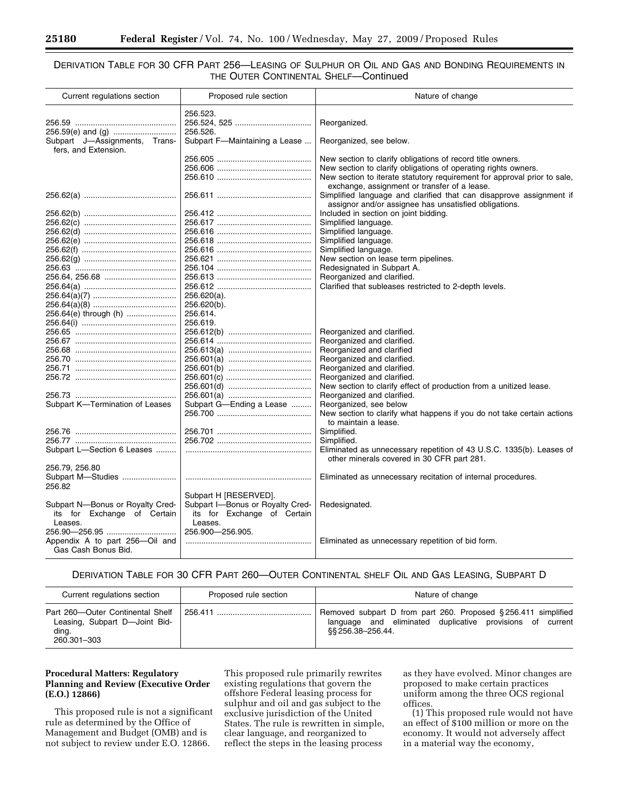# DERIVATION TABLE FOR 30 CFR PART 256—LEASING OF SULPHUR OR OIL AND GAS AND BONDING REQUIREMENTS IN THE OUTER CONTINENTAL SHELF—Continued

| Current regulations section                           | Proposed rule section            | Nature of change                                                                                                             |
|-------------------------------------------------------|----------------------------------|------------------------------------------------------------------------------------------------------------------------------|
|                                                       | 256.523.                         |                                                                                                                              |
|                                                       |                                  | Reorganized.                                                                                                                 |
|                                                       | 256.526.                         |                                                                                                                              |
| Subpart J-Assignments, Trans-<br>fers, and Extension. | Subpart F-Maintaining a Lease    | Reorganized, see below.                                                                                                      |
|                                                       |                                  | New section to clarify obligations of record title owners.                                                                   |
|                                                       |                                  | New section to clarify obligations of operating rights owners.                                                               |
|                                                       |                                  | New section to iterate statutory requirement for approval prior to sale,<br>exchange, assignment or transfer of a lease.     |
|                                                       |                                  | Simplified language and clarified that can disapprove assignment if<br>assignor and/or assignee has unsatisfied obligations. |
|                                                       |                                  | Included in section on joint bidding.                                                                                        |
|                                                       |                                  | Simplified language.                                                                                                         |
|                                                       |                                  |                                                                                                                              |
|                                                       |                                  | Simplified language.                                                                                                         |
|                                                       |                                  | Simplified language.                                                                                                         |
|                                                       |                                  | Simplified language.                                                                                                         |
|                                                       |                                  | New section on lease term pipelines.                                                                                         |
|                                                       |                                  | Redesignated in Subpart A.                                                                                                   |
|                                                       |                                  | Reorganized and clarified.                                                                                                   |
|                                                       |                                  | Clarified that subleases restricted to 2-depth levels.                                                                       |
|                                                       | $256.620(a)$ .                   |                                                                                                                              |
|                                                       | 256.620(b).                      |                                                                                                                              |
| 256.64(e) through (h)                                 | 256.614.                         |                                                                                                                              |
|                                                       | 256.619.                         |                                                                                                                              |
|                                                       |                                  | Reorganized and clarified.                                                                                                   |
|                                                       |                                  | Reorganized and clarified.                                                                                                   |
|                                                       |                                  | Reorganized and clarified                                                                                                    |
|                                                       |                                  | Reorganized and clarified.                                                                                                   |
|                                                       |                                  | Reorganized and clarified.                                                                                                   |
|                                                       |                                  | Reorganized and clarified.                                                                                                   |
|                                                       |                                  | New section to clarify effect of production from a unitized lease.                                                           |
|                                                       |                                  | Reorganized and clarified.                                                                                                   |
| Subpart K-Termination of Leases                       | Subpart G-Ending a Lease         | Reorganized, see below                                                                                                       |
|                                                       |                                  | New section to clarify what happens if you do not take certain actions                                                       |
|                                                       |                                  | to maintain a lease.                                                                                                         |
|                                                       |                                  | Simplified.                                                                                                                  |
|                                                       |                                  | Simplified.                                                                                                                  |
| Subpart L-Section 6 Leases                            |                                  | Eliminated as unnecessary repetition of 43 U.S.C. 1335(b). Leases of<br>other minerals covered in 30 CFR part 281.           |
| 256.79, 256.80                                        |                                  |                                                                                                                              |
| Subpart M-Studies<br>256.82                           |                                  | Eliminated as unnecessary recitation of internal procedures.                                                                 |
|                                                       | Subpart H [RESERVED].            |                                                                                                                              |
| Subpart N-Bonus or Royalty Cred-                      | Subpart I-Bonus or Royalty Cred- | Redesignated.                                                                                                                |
| its for Exchange of Certain                           | its for Exchange of Certain      |                                                                                                                              |
| Leases.                                               | Leases.                          |                                                                                                                              |
|                                                       | 256.900-256.905.                 |                                                                                                                              |
|                                                       |                                  |                                                                                                                              |
| Appendix A to part 256-Oil and<br>Gas Cash Bonus Bid. |                                  | Eliminated as unnecessary repetition of bid form.                                                                            |

# DERIVATION TABLE FOR 30 CFR PART 260—OUTER CONTINENTAL SHELF OIL AND GAS LEASING, SUBPART D

| Current regulations section                                                               | Proposed rule section | Nature of change                                                                                                                                |
|-------------------------------------------------------------------------------------------|-----------------------|-------------------------------------------------------------------------------------------------------------------------------------------------|
| Part 260-Outer Continental Shelf<br>Leasing, Subpart D-Joint Bid-<br>ding.<br>260.301-303 |                       | Removed subpart D from part 260. Proposed §256.411 simplified<br>language and eliminated duplicative provisions of current<br>§§ 256.38–256.44. |

# **Procedural Matters: Regulatory Planning and Review (Executive Order (E.O.) 12866)**

This proposed rule is not a significant rule as determined by the Office of Management and Budget (OMB) and is not subject to review under E.O. 12866.

This proposed rule primarily rewrites existing regulations that govern the offshore Federal leasing process for sulphur and oil and gas subject to the exclusive jurisdiction of the United States. The rule is rewritten in simple, clear language, and reorganized to reflect the steps in the leasing process

as they have evolved. Minor changes are proposed to make certain practices uniform among the three OCS regional offices.

(1) This proposed rule would not have an effect of \$100 million or more on the economy. It would not adversely affect in a material way the economy,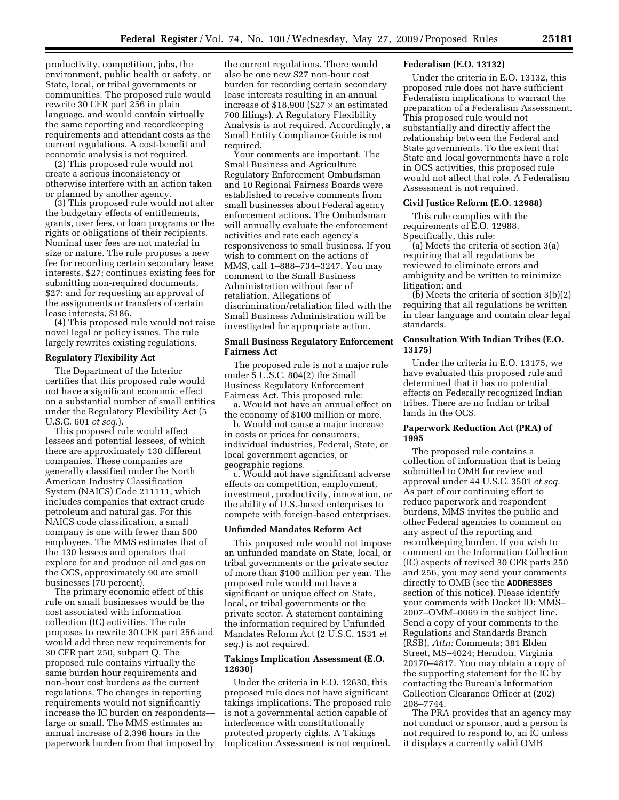productivity, competition, jobs, the environment, public health or safety, or State, local, or tribal governments or communities. The proposed rule would rewrite 30 CFR part 256 in plain language, and would contain virtually the same reporting and recordkeeping requirements and attendant costs as the current regulations. A cost-benefit and economic analysis is not required.

(2) This proposed rule would not create a serious inconsistency or otherwise interfere with an action taken or planned by another agency.

(3) This proposed rule would not alter the budgetary effects of entitlements, grants, user fees, or loan programs or the rights or obligations of their recipients. Nominal user fees are not material in size or nature. The rule proposes a new fee for recording certain secondary lease interests, \$27; continues existing fees for submitting non-required documents, \$27; and for requesting an approval of the assignments or transfers of certain lease interests, \$186.

(4) This proposed rule would not raise novel legal or policy issues. The rule largely rewrites existing regulations.

#### **Regulatory Flexibility Act**

The Department of the Interior certifies that this proposed rule would not have a significant economic effect on a substantial number of small entities under the Regulatory Flexibility Act (5 U.S.C. 601 *et seq.*).

This proposed rule would affect lessees and potential lessees, of which there are approximately 130 different companies. These companies are generally classified under the North American Industry Classification System (NAICS) Code 211111, which includes companies that extract crude petroleum and natural gas. For this NAICS code classification, a small company is one with fewer than 500 employees. The MMS estimates that of the 130 lessees and operators that explore for and produce oil and gas on the OCS, approximately 90 are small businesses (70 percent).

The primary economic effect of this rule on small businesses would be the cost associated with information collection (IC) activities. The rule proposes to rewrite 30 CFR part 256 and would add three new requirements for 30 CFR part 250, subpart Q. The proposed rule contains virtually the same burden hour requirements and non-hour cost burdens as the current regulations. The changes in reporting requirements would not significantly increase the IC burden on respondents large or small. The MMS estimates an annual increase of 2,396 hours in the paperwork burden from that imposed by

the current regulations. There would also be one new \$27 non-hour cost burden for recording certain secondary lease interests resulting in an annual increase of  $$18,900$  ( $$27 \times an$  estimated 700 filings). A Regulatory Flexibility Analysis is not required. Accordingly, a Small Entity Compliance Guide is not required.

Your comments are important. The Small Business and Agriculture Regulatory Enforcement Ombudsman and 10 Regional Fairness Boards were established to receive comments from small businesses about Federal agency enforcement actions. The Ombudsman will annually evaluate the enforcement activities and rate each agency's responsiveness to small business. If you wish to comment on the actions of MMS, call 1–888–734–3247. You may comment to the Small Business Administration without fear of retaliation. Allegations of discrimination/retaliation filed with the Small Business Administration will be investigated for appropriate action.

# **Small Business Regulatory Enforcement Fairness Act**

The proposed rule is not a major rule under 5 U.S.C. 804(2) the Small Business Regulatory Enforcement Fairness Act. This proposed rule:

a. Would not have an annual effect on the economy of \$100 million or more.

b. Would not cause a major increase in costs or prices for consumers, individual industries, Federal, State, or local government agencies, or geographic regions.

c. Would not have significant adverse effects on competition, employment, investment, productivity, innovation, or the ability of U.S.-based enterprises to compete with foreign-based enterprises.

#### **Unfunded Mandates Reform Act**

This proposed rule would not impose an unfunded mandate on State, local, or tribal governments or the private sector of more than \$100 million per year. The proposed rule would not have a significant or unique effect on State, local, or tribal governments or the private sector. A statement containing the information required by Unfunded Mandates Reform Act (2 U.S.C. 1531 *et seq.*) is not required.

# **Takings Implication Assessment (E.O. 12630)**

Under the criteria in E.O. 12630, this proposed rule does not have significant takings implications. The proposed rule is not a governmental action capable of interference with constitutionally protected property rights. A Takings Implication Assessment is not required.

# **Federalism (E.O. 13132)**

Under the criteria in E.O. 13132, this proposed rule does not have sufficient Federalism implications to warrant the preparation of a Federalism Assessment. This proposed rule would not substantially and directly affect the relationship between the Federal and State governments. To the extent that State and local governments have a role in OCS activities, this proposed rule would not affect that role. A Federalism Assessment is not required.

## **Civil Justice Reform (E.O. 12988)**

This rule complies with the requirements of E.O. 12988. Specifically, this rule:

(a) Meets the criteria of section 3(a) requiring that all regulations be reviewed to eliminate errors and ambiguity and be written to minimize litigation; and

(b) Meets the criteria of section 3(b)(2) requiring that all regulations be written in clear language and contain clear legal standards.

## **Consultation With Indian Tribes (E.O. 13175)**

Under the criteria in E.O. 13175, we have evaluated this proposed rule and determined that it has no potential effects on Federally recognized Indian tribes. There are no Indian or tribal lands in the OCS.

## **Paperwork Reduction Act (PRA) of 1995**

The proposed rule contains a collection of information that is being submitted to OMB for review and approval under 44 U.S.C. 3501 *et seq.*  As part of our continuing effort to reduce paperwork and respondent burdens, MMS invites the public and other Federal agencies to comment on any aspect of the reporting and recordkeeping burden. If you wish to comment on the Information Collection (IC) aspects of revised 30 CFR parts 250 and 256, you may send your comments directly to OMB (see the **ADDRESSES** section of this notice). Please identify your comments with Docket ID: MMS– 2007–OMM–0069 in the subject line. Send a copy of your comments to the Regulations and Standards Branch (RSB), *Attn:* Comments; 381 Elden Street, MS–4024; Herndon, Virginia 20170–4817. You may obtain a copy of the supporting statement for the IC by contacting the Bureau's Information Collection Clearance Officer at (202) 208–7744.

The PRA provides that an agency may not conduct or sponsor, and a person is not required to respond to, an IC unless it displays a currently valid OMB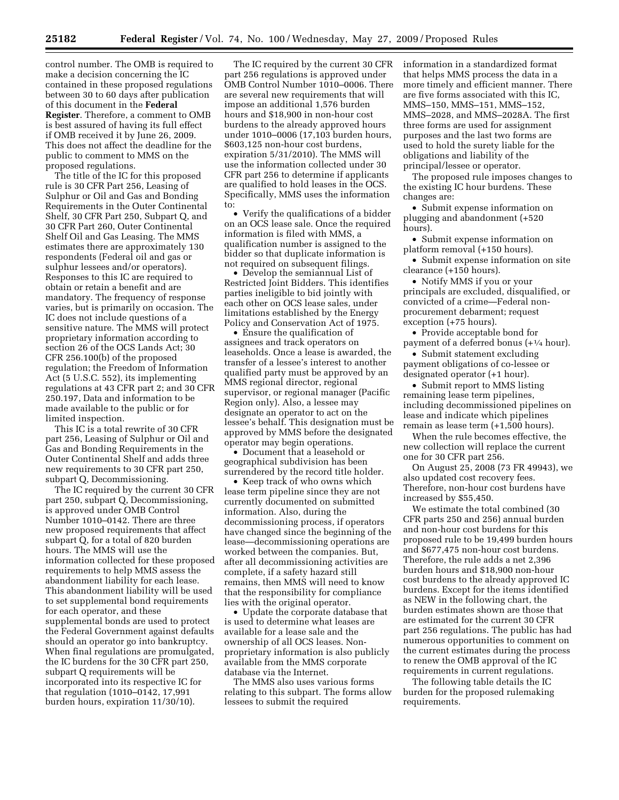control number. The OMB is required to make a decision concerning the IC contained in these proposed regulations between 30 to 60 days after publication of this document in the **Federal Register**. Therefore, a comment to OMB is best assured of having its full effect if OMB received it by June 26, 2009. This does not affect the deadline for the public to comment to MMS on the proposed regulations.

The title of the IC for this proposed rule is 30 CFR Part 256, Leasing of Sulphur or Oil and Gas and Bonding Requirements in the Outer Continental Shelf, 30 CFR Part 250, Subpart Q, and 30 CFR Part 260, Outer Continental Shelf Oil and Gas Leasing. The MMS estimates there are approximately 130 respondents (Federal oil and gas or sulphur lessees and/or operators). Responses to this IC are required to obtain or retain a benefit and are mandatory. The frequency of response varies, but is primarily on occasion. The IC does not include questions of a sensitive nature. The MMS will protect proprietary information according to section 26 of the OCS Lands Act; 30 CFR 256.100(b) of the proposed regulation; the Freedom of Information Act (5 U.S.C. 552), its implementing regulations at 43 CFR part 2; and 30 CFR 250.197, Data and information to be made available to the public or for limited inspection.

This IC is a total rewrite of 30 CFR part 256, Leasing of Sulphur or Oil and Gas and Bonding Requirements in the Outer Continental Shelf and adds three new requirements to 30 CFR part 250, subpart Q, Decommissioning.

The IC required by the current 30 CFR part 250, subpart Q, Decommissioning, is approved under OMB Control Number 1010–0142. There are three new proposed requirements that affect subpart Q, for a total of 820 burden hours. The MMS will use the information collected for these proposed requirements to help MMS assess the abandonment liability for each lease. This abandonment liability will be used to set supplemental bond requirements for each operator, and these supplemental bonds are used to protect the Federal Government against defaults should an operator go into bankruptcy. When final regulations are promulgated, the IC burdens for the 30 CFR part 250, subpart Q requirements will be incorporated into its respective IC for that regulation (1010–0142, 17,991 burden hours, expiration 11/30/10).

The IC required by the current 30 CFR part 256 regulations is approved under OMB Control Number 1010–0006. There are several new requirements that will impose an additional 1,576 burden hours and \$18,900 in non-hour cost burdens to the already approved hours under 1010–0006 (17,103 burden hours, \$603,125 non-hour cost burdens, expiration 5/31/2010). The MMS will use the information collected under 30 CFR part 256 to determine if applicants are qualified to hold leases in the OCS. Specifically, MMS uses the information to:

• Verify the qualifications of a bidder on an OCS lease sale. Once the required information is filed with MMS, a qualification number is assigned to the bidder so that duplicate information is not required on subsequent filings.

• Develop the semiannual List of Restricted Joint Bidders. This identifies parties ineligible to bid jointly with each other on OCS lease sales, under limitations established by the Energy Policy and Conservation Act of 1975.

• Ensure the qualification of assignees and track operators on leaseholds. Once a lease is awarded, the transfer of a lessee's interest to another qualified party must be approved by an MMS regional director, regional supervisor, or regional manager (Pacific Region only). Also, a lessee may designate an operator to act on the lessee's behalf. This designation must be approved by MMS before the designated operator may begin operations.

• Document that a leasehold or geographical subdivision has been surrendered by the record title holder.

• Keep track of who owns which lease term pipeline since they are not currently documented on submitted information. Also, during the decommissioning process, if operators have changed since the beginning of the lease—decommissioning operations are worked between the companies. But, after all decommissioning activities are complete, if a safety hazard still remains, then MMS will need to know that the responsibility for compliance lies with the original operator.

• Update the corporate database that is used to determine what leases are available for a lease sale and the ownership of all OCS leases. Nonproprietary information is also publicly available from the MMS corporate database via the Internet.

The MMS also uses various forms relating to this subpart. The forms allow lessees to submit the required

information in a standardized format that helps MMS process the data in a more timely and efficient manner. There are five forms associated with this IC, MMS–150, MMS–151, MMS–152, MMS–2028, and MMS–2028A. The first three forms are used for assignment purposes and the last two forms are used to hold the surety liable for the obligations and liability of the principal/lessee or operator.

The proposed rule imposes changes to the existing IC hour burdens. These changes are:

• Submit expense information on plugging and abandonment (+520 hours).

• Submit expense information on platform removal (+150 hours).

• Submit expense information on site clearance (+150 hours).

• Notify MMS if you or your principals are excluded, disqualified, or convicted of a crime—Federal nonprocurement debarment; request exception (+75 hours).

• Provide acceptable bond for payment of a deferred bonus  $(+\frac{1}{4} \text{ hour}).$ 

• Submit statement excluding payment obligations of co-lessee or designated operator (+1 hour).

• Submit report to MMS listing remaining lease term pipelines, including decommissioned pipelines on lease and indicate which pipelines remain as lease term (+1,500 hours).

When the rule becomes effective, the new collection will replace the current one for 30 CFR part 256.

On August 25, 2008 (73 FR 49943), we also updated cost recovery fees. Therefore, non-hour cost burdens have increased by \$55,450.

We estimate the total combined (30 CFR parts 250 and 256) annual burden and non-hour cost burdens for this proposed rule to be 19,499 burden hours and \$677,475 non-hour cost burdens. Therefore, the rule adds a net 2,396 burden hours and \$18,900 non-hour cost burdens to the already approved IC burdens. Except for the items identified as NEW in the following chart, the burden estimates shown are those that are estimated for the current 30 CFR part 256 regulations. The public has had numerous opportunities to comment on the current estimates during the process to renew the OMB approval of the IC requirements in current regulations.

The following table details the IC burden for the proposed rulemaking requirements.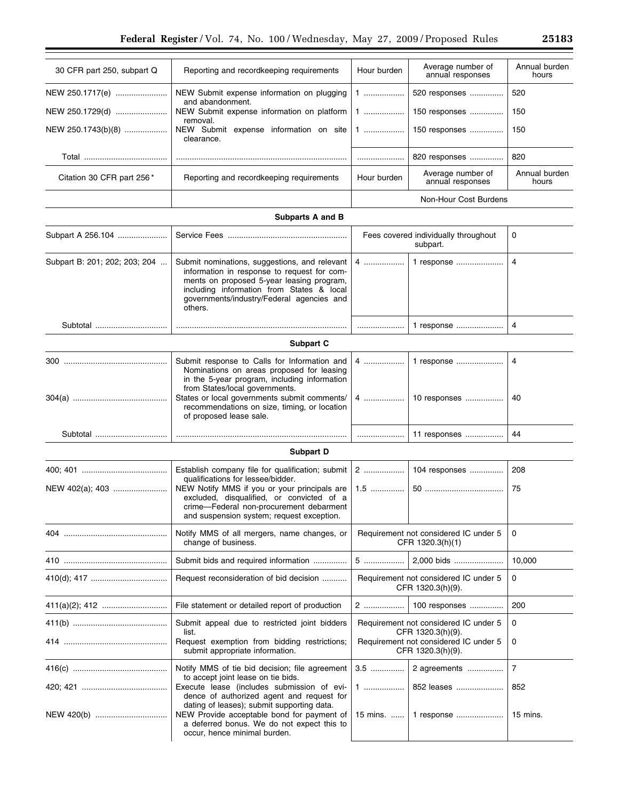| 30 CFR part 250, subpart Q    | Reporting and recordkeeping requirements                                                                                                                                                                                                       | Hour burden | Average number of<br>annual responses                      | Annual burden<br>hours |
|-------------------------------|------------------------------------------------------------------------------------------------------------------------------------------------------------------------------------------------------------------------------------------------|-------------|------------------------------------------------------------|------------------------|
| NEW 250.1717(e)               | NEW Submit expense information on plugging<br>and abandonment.                                                                                                                                                                                 | 1           | 520 responses                                              | 520                    |
| NEW 250.1729(d)               | NEW Submit expense information on platform<br>removal.                                                                                                                                                                                         | 1           | 150 responses                                              | 150                    |
| NEW 250.1743(b)(8)            | NEW Submit expense information on site<br>clearance.                                                                                                                                                                                           | 1           | 150 responses                                              | 150                    |
|                               |                                                                                                                                                                                                                                                |             | 820 responses                                              | 820                    |
| Citation 30 CFR part 256*     | Reporting and recordkeeping requirements                                                                                                                                                                                                       | Hour burden | Average number of<br>annual responses                      | Annual burden<br>hours |
|                               |                                                                                                                                                                                                                                                |             | Non-Hour Cost Burdens                                      |                        |
|                               | <b>Subparts A and B</b>                                                                                                                                                                                                                        |             |                                                            |                        |
| Subpart A 256.104             |                                                                                                                                                                                                                                                |             | Fees covered individually throughout<br>subpart.           | 0                      |
| Subpart B: 201; 202; 203; 204 | Submit nominations, suggestions, and relevant<br>information in response to request for com-<br>ments on proposed 5-year leasing program,<br>including information from States & local<br>governments/industry/Federal agencies and<br>others. | 4           | 1 response                                                 | $\overline{4}$         |
| Subtotal                      |                                                                                                                                                                                                                                                |             | 1 response                                                 | $\overline{4}$         |
|                               | <b>Subpart C</b>                                                                                                                                                                                                                               |             |                                                            |                        |
|                               | Submit response to Calls for Information and<br>Nominations on areas proposed for leasing<br>in the 5-year program, including information                                                                                                      | 4           | 1 response                                                 | $\overline{4}$         |
|                               | from States/local governments.<br>States or local governments submit comments/<br>recommendations on size, timing, or location<br>of proposed lease sale.                                                                                      | 4           | 10 responses                                               | 40                     |
| Subtotal                      |                                                                                                                                                                                                                                                |             | 11 responses                                               | 44                     |
|                               | <b>Subpart D</b>                                                                                                                                                                                                                               |             |                                                            |                        |
|                               | Establish company file for qualification; submit<br>qualifications for lessee/bidder.                                                                                                                                                          | 2           | 104 responses                                              | 208                    |
|                               | NEW Notify MMS if you or your principals are<br>excluded, disqualified, or convicted of a<br>crime-Federal non-procurement debarment<br>and suspension system; request exception.                                                              | $1.5$       |                                                            | 75                     |
|                               | Notify MMS of all mergers, name changes, or<br>Requirement not considered IC under 5<br>change of business.<br>CFR 1320.3(h)(1)                                                                                                                |             | 0                                                          |                        |
|                               | Submit bids and required information                                                                                                                                                                                                           | 5           | 2.000 bids                                                 | 10,000                 |
|                               | Request reconsideration of bid decision                                                                                                                                                                                                        |             | Requirement not considered IC under 5<br>CFR 1320.3(h)(9). | 0                      |
|                               | File statement or detailed report of production                                                                                                                                                                                                | 2           | 100 responses                                              | 200                    |
|                               | Submit appeal due to restricted joint bidders<br>list.                                                                                                                                                                                         |             | Requirement not considered IC under 5<br>CFR 1320.3(h)(9). | 0                      |
|                               | Request exemption from bidding restrictions;<br>submit appropriate information.                                                                                                                                                                |             | Requirement not considered IC under 5<br>CFR 1320.3(h)(9). | 0                      |
|                               | Notify MMS of tie bid decision; file agreement<br>to accept joint lease on tie bids.                                                                                                                                                           | 3.5         | 2 agreements                                               | $\overline{7}$         |
|                               | Execute lease (includes submission of evi-<br>dence of authorized agent and request for                                                                                                                                                        | 1           | 852 leases                                                 | 852                    |
| NEW 420(b)                    | dating of leases); submit supporting data.<br>NEW Provide acceptable bond for payment of<br>a deferred bonus. We do not expect this to<br>occur, hence minimal burden.                                                                         | 15 mins.    | 1 response                                                 | 15 mins.               |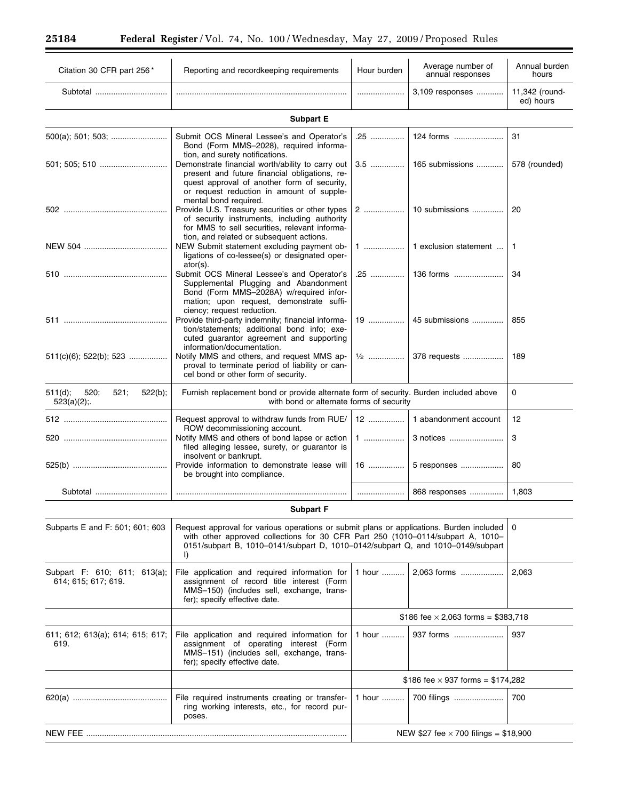| Citation 30 CFR part 256*                           | Reporting and recordkeeping requirements                                                                                                                                                                                                                             | Hour burden | Average number of<br>annual responses        | Annual burden<br>hours      |
|-----------------------------------------------------|----------------------------------------------------------------------------------------------------------------------------------------------------------------------------------------------------------------------------------------------------------------------|-------------|----------------------------------------------|-----------------------------|
| Subtotal                                            |                                                                                                                                                                                                                                                                      |             | 3,109 responses                              | 11,342 (round-<br>ed) hours |
|                                                     | Subpart E                                                                                                                                                                                                                                                            |             |                                              |                             |
|                                                     | Submit OCS Mineral Lessee's and Operator's<br>Bond (Form MMS-2028), required informa-<br>tion, and surety notifications.                                                                                                                                             | .25         | 124 forms                                    | 31                          |
| 501; 505; 510                                       | Demonstrate financial worth/ability to carry out<br>present and future financial obligations, re-<br>quest approval of another form of security,<br>or request reduction in amount of supple-<br>mental bond required.                                               | $3.5$       | 165 submissions                              | 578 (rounded)               |
|                                                     | Provide U.S. Treasury securities or other types<br>of security instruments, including authority<br>for MMS to sell securities, relevant informa-<br>tion, and related or subsequent actions.                                                                         | 2           | 10 submissions                               | 20                          |
|                                                     | NEW Submit statement excluding payment ob-<br>ligations of co-lessee(s) or designated oper-<br>$ator(s)$ .                                                                                                                                                           | $1$         | 1 exclusion statement                        | 1                           |
|                                                     | Submit OCS Mineral Lessee's and Operator's<br>Supplemental Plugging and Abandonment<br>Bond (Form MMS-2028A) w/required infor-<br>mation; upon request, demonstrate suffi-<br>ciency; request reduction.                                                             | $.25$       | 136 forms                                    | 34                          |
|                                                     | Provide third-party indemnity; financial informa-<br>tion/statements; additional bond info; exe-<br>cuted guarantor agreement and supporting<br>information/documentation.                                                                                           | 19          | 45 submissions                               | 855                         |
| $511(c)(6)$ ; 522(b); 523                           | Notify MMS and others, and request MMS ap-<br>proval to terminate period of liability or can-<br>cel bond or other form of security.                                                                                                                                 |             |                                              | 189                         |
| 522(b);<br>$511(d);$ 520;<br>521;<br>$523(a)(2)$ ;  | Furnish replacement bond or provide alternate form of security. Burden included above<br>with bond or alternate forms of security                                                                                                                                    |             |                                              | 0                           |
|                                                     | Request approval to withdraw funds from RUE/<br>ROW decommissioning account.                                                                                                                                                                                         | 12          | 1 abandonment account                        | 12                          |
|                                                     | Notify MMS and others of bond lapse or action<br>filed alleging lessee, surety, or guarantor is                                                                                                                                                                      | 1           | 3 notices                                    | 3                           |
|                                                     | insolvent or bankrupt.<br>Provide information to demonstrate lease will<br>be brought into compliance.                                                                                                                                                               |             | 5 responses                                  | 80                          |
| Subtotal                                            |                                                                                                                                                                                                                                                                      |             | 868 responses                                | 1,803                       |
|                                                     | <b>Subpart F</b>                                                                                                                                                                                                                                                     |             |                                              |                             |
| Subparts E and F: 501; 601; 603                     | Request approval for various operations or submit plans or applications. Burden included<br>with other approved collections for 30 CFR Part 250 (1010-0114/subpart A, 1010-<br>0151/subpart B, 1010-0141/subpart D, 1010-0142/subpart Q, and 1010-0149/subpart<br>I) |             | 0                                            |                             |
| Subpart F: 610; 611; 613(a);<br>614; 615; 617; 619. | File application and required information for<br>assignment of record title interest (Form<br>MMS-150) (includes sell, exchange, trans-<br>fer); specify effective date.                                                                                             | 1 hour      | 2,063 forms                                  | 2,063                       |
|                                                     | \$186 fee $\times$ 2,063 forms = \$383,718                                                                                                                                                                                                                           |             |                                              |                             |
| 611; 612; 613(a); 614; 615; 617;<br>619.            | File application and required information for<br>assignment of operating interest (Form<br>MMS-151) (includes sell, exchange, trans-<br>fer); specify effective date.                                                                                                | 1 hour      | 937 forms                                    | 937                         |
|                                                     |                                                                                                                                                                                                                                                                      |             | \$186 fee $\times$ 937 forms = \$174,282     |                             |
|                                                     | File required instruments creating or transfer-<br>ring working interests, etc., for record pur-<br>poses.                                                                                                                                                           | 1 hour      | 700 filings                                  | 700                         |
|                                                     |                                                                                                                                                                                                                                                                      |             | NEW \$27 fee $\times$ 700 filings = \$18,900 |                             |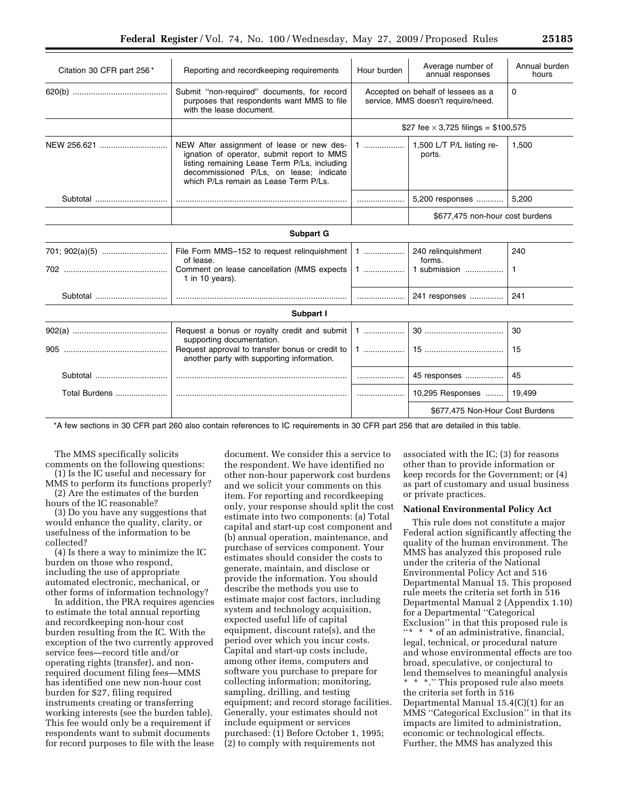| Citation 30 CFR part 256* | Reporting and recordkeeping requirements                                                                                                                                                                                    | Average number of<br>Hour burden<br>annual responses                                 |                                                       | Annual burden<br>hours |
|---------------------------|-----------------------------------------------------------------------------------------------------------------------------------------------------------------------------------------------------------------------------|--------------------------------------------------------------------------------------|-------------------------------------------------------|------------------------|
|                           | Submit "non-required" documents, for record<br>purposes that respondents want MMS to file<br>with the lease document.                                                                                                       | $\Omega$<br>Accepted on behalf of lessees as a<br>service, MMS doesn't require/need. |                                                       |                        |
|                           |                                                                                                                                                                                                                             |                                                                                      | \$27 fee $\times$ 3,725 filings = \$100,575           |                        |
| NEW 256.621               | NEW After assignment of lease or new des-<br>ignation of operator, submit report to MMS<br>listing remaining Lease Term P/Ls, including<br>decommissioned P/Ls, on lease; indicate<br>which P/Ls remain as Lease Term P/Ls. | $1$                                                                                  | 1,500 L/T P/L listing re-<br>ports.                   | 1,500                  |
| Subtotal                  |                                                                                                                                                                                                                             |                                                                                      | 5,200 responses                                       | 5,200                  |
|                           |                                                                                                                                                                                                                             |                                                                                      | \$677,475 non-hour cost burdens                       |                        |
|                           | <b>Subpart G</b>                                                                                                                                                                                                            |                                                                                      |                                                       |                        |
|                           | File Form MMS-152 to request relinguishment<br>of lease.<br>Comment on lease cancellation (MMS expects<br>1 in 10 years).                                                                                                   |                                                                                      | 240 relinguishment<br>forms.<br>1 submission $\ldots$ | 240<br>1               |
| Subtotal                  |                                                                                                                                                                                                                             |                                                                                      | 241 responses                                         | 241                    |
|                           | Subpart I                                                                                                                                                                                                                   |                                                                                      |                                                       |                        |
|                           | Request a bonus or royalty credit and submit                                                                                                                                                                                | $1$                                                                                  |                                                       | 30                     |
|                           | supporting documentation.<br>Request approval to transfer bonus or credit to<br>another party with supporting information.                                                                                                  | 1                                                                                    |                                                       | 15                     |
| Subtotal                  |                                                                                                                                                                                                                             |                                                                                      | 45 responses                                          | 45                     |
| Total Burdens             |                                                                                                                                                                                                                             |                                                                                      | 10,295 Responses                                      | 19,499                 |
|                           |                                                                                                                                                                                                                             |                                                                                      | \$677,475 Non-Hour Cost Burdens                       |                        |

\*A few sections in 30 CFR part 260 also contain references to IC requirements in 30 CFR part 256 that are detailed in this table.

The MMS specifically solicits comments on the following questions:

(1) Is the IC useful and necessary for MMS to perform its functions properly?

(2) Are the estimates of the burden hours of the IC reasonable?

(3) Do you have any suggestions that would enhance the quality, clarity, or usefulness of the information to be collected?

(4) Is there a way to minimize the IC burden on those who respond, including the use of appropriate automated electronic, mechanical, or other forms of information technology?

In addition, the PRA requires agencies to estimate the total annual reporting and recordkeeping non-hour cost burden resulting from the IC. With the exception of the two currently approved service fees—record title and/or operating rights (transfer), and nonrequired document filing fees—MMS has identified one new non-hour cost burden for \$27, filing required instruments creating or transferring working interests (see the burden table). This fee would only be a requirement if respondents want to submit documents for record purposes to file with the lease

document. We consider this a service to the respondent. We have identified no other non-hour paperwork cost burdens and we solicit your comments on this item. For reporting and recordkeeping only, your response should split the cost estimate into two components: (a) Total capital and start-up cost component and (b) annual operation, maintenance, and purchase of services component. Your estimates should consider the costs to generate, maintain, and disclose or provide the information. You should describe the methods you use to estimate major cost factors, including system and technology acquisition, expected useful life of capital equipment, discount rate(s), and the period over which you incur costs. Capital and start-up costs include, among other items, computers and software you purchase to prepare for collecting information; monitoring, sampling, drilling, and testing equipment; and record storage facilities. Generally, your estimates should not include equipment or services purchased: (1) Before October 1, 1995; (2) to comply with requirements not

associated with the IC; (3) for reasons other than to provide information or keep records for the Government; or (4) as part of customary and usual business or private practices.

#### **National Environmental Policy Act**

This rule does not constitute a major Federal action significantly affecting the quality of the human environment. The MMS has analyzed this proposed rule under the criteria of the National Environmental Policy Act and 516 Departmental Manual 15. This proposed rule meets the criteria set forth in 516 Departmental Manual 2 (Appendix 1.10) for a Departmental ''Categorical Exclusion'' in that this proposed rule is ''\* \* \* of an administrative, financial, legal, technical, or procedural nature and whose environmental effects are too broad, speculative, or conjectural to lend themselves to meaningful analysis \* \* \*.'' This proposed rule also meets the criteria set forth in 516 Departmental Manual 15.4(C)(1) for an MMS ''Categorical Exclusion'' in that its impacts are limited to administration, economic or technological effects. Further, the MMS has analyzed this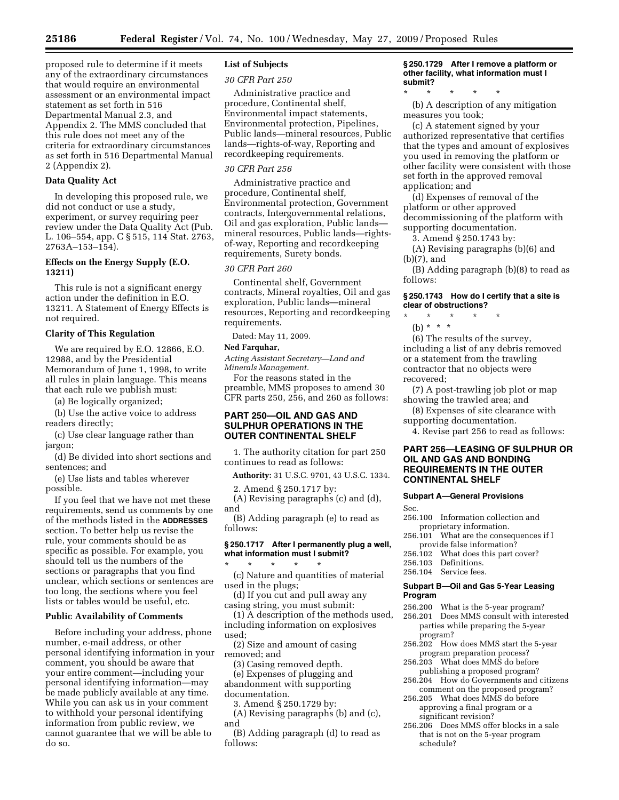proposed rule to determine if it meets any of the extraordinary circumstances that would require an environmental assessment or an environmental impact statement as set forth in 516 Departmental Manual 2.3, and Appendix 2. The MMS concluded that this rule does not meet any of the criteria for extraordinary circumstances as set forth in 516 Departmental Manual 2 (Appendix 2).

# **Data Quality Act**

In developing this proposed rule, we did not conduct or use a study, experiment, or survey requiring peer review under the Data Quality Act (Pub. L. 106–554, app. C § 515, 114 Stat. 2763, 2763A–153–154).

# **Effects on the Energy Supply (E.O. 13211)**

This rule is not a significant energy action under the definition in E.O. 13211. A Statement of Energy Effects is not required.

# **Clarity of This Regulation**

We are required by E.O. 12866, E.O. 12988, and by the Presidential Memorandum of June 1, 1998, to write all rules in plain language. This means that each rule we publish must:

(a) Be logically organized;

(b) Use the active voice to address readers directly;

(c) Use clear language rather than jargon;

(d) Be divided into short sections and sentences; and

(e) Use lists and tables wherever possible.

If you feel that we have not met these requirements, send us comments by one of the methods listed in the **ADDRESSES** section. To better help us revise the rule, your comments should be as specific as possible. For example, you should tell us the numbers of the sections or paragraphs that you find unclear, which sections or sentences are too long, the sections where you feel lists or tables would be useful, etc.

### **Public Availability of Comments**

Before including your address, phone number, e-mail address, or other personal identifying information in your comment, you should be aware that your entire comment—including your personal identifying information—may be made publicly available at any time. While you can ask us in your comment to withhold your personal identifying information from public review, we cannot guarantee that we will be able to do so.

# **List of Subjects**

*30 CFR Part 250* 

Administrative practice and procedure, Continental shelf, Environmental impact statements, Environmental protection, Pipelines, Public lands—mineral resources, Public lands—rights-of-way, Reporting and recordkeeping requirements.

# *30 CFR Part 256*

Administrative practice and procedure, Continental shelf, Environmental protection, Government contracts, Intergovernmental relations, Oil and gas exploration, Public lands mineral resources, Public lands—rightsof-way, Reporting and recordkeeping requirements, Surety bonds.

## *30 CFR Part 260*

Continental shelf, Government contracts, Mineral royalties, Oil and gas exploration, Public lands—mineral resources, Reporting and recordkeeping requirements.

Dated: May 11, 2009.

#### **Ned Farquhar,**

*Acting Assistant Secretary—Land and Minerals Management.* 

For the reasons stated in the preamble, MMS proposes to amend 30 CFR parts 250, 256, and 260 as follows:

# **PART 250—OIL AND GAS AND SULPHUR OPERATIONS IN THE OUTER CONTINENTAL SHELF**

1. The authority citation for part 250 continues to read as follows:

**Authority:** 31 U.S.C. 9701, 43 U.S.C. 1334.

2. Amend § 250.1717 by:

(A) Revising paragraphs (c) and (d), and

(B) Adding paragraph (e) to read as follows:

# **§ 250.1717 After I permanently plug a well, what information must I submit?**

\* \* \* \* \* (c) Nature and quantities of material used in the plugs;

(d) If you cut and pull away any casing string, you must submit:

(1) A description of the methods used, including information on explosives used;

(2) Size and amount of casing removed; and

(3) Casing removed depth.

(e) Expenses of plugging and abandonment with supporting documentation.

3. Amend § 250.1729 by:

(A) Revising paragraphs (b) and (c), and

(B) Adding paragraph (d) to read as follows:

# **§ 250.1729 After I remove a platform or other facility, what information must I submit?**

\* \* \* \* \* (b) A description of any mitigation measures you took;

(c) A statement signed by your authorized representative that certifies that the types and amount of explosives you used in removing the platform or other facility were consistent with those set forth in the approved removal application; and

(d) Expenses of removal of the platform or other approved decommissioning of the platform with supporting documentation.

3. Amend § 250.1743 by:

(A) Revising paragraphs (b)(6) and (b)(7), and

(B) Adding paragraph (b)(8) to read as follows:

#### **§ 250.1743 How do I certify that a site is clear of obstructions?**

\* \* \* \* \*

(b) \* \* \*

(6) The results of the survey, including a list of any debris removed or a statement from the trawling contractor that no objects were recovered;

(7) A post-trawling job plot or map showing the trawled area; and

(8) Expenses of site clearance with supporting documentation.

4. Revise part 256 to read as follows:

# **PART 256—LEASING OF SULPHUR OR OIL AND GAS AND BONDING REQUIREMENTS IN THE OUTER CONTINENTAL SHELF**

## **Subpart A—General Provisions**

Sec.

- 256.100 Information collection and proprietary information.
- 256.101 What are the consequences if I provide false information?
- 256.102 What does this part cover?
- 256.103 Definitions.
- 256.104 Service fees.

#### **Subpart B—Oil and Gas 5-Year Leasing Program**

- 256.200 What is the 5-year program?
- 256.201 Does MMS consult with interested parties while preparing the 5-year program?
- 256.202 How does MMS start the 5-year program preparation process?
- 256.203 What does MMS do before publishing a proposed program?
- 256.204 How do Governments and citizens comment on the proposed program?
- 256.205 What does MMS do before approving a final program or a significant revision?
- 256.206 Does MMS offer blocks in a sale that is not on the 5-year program schedule?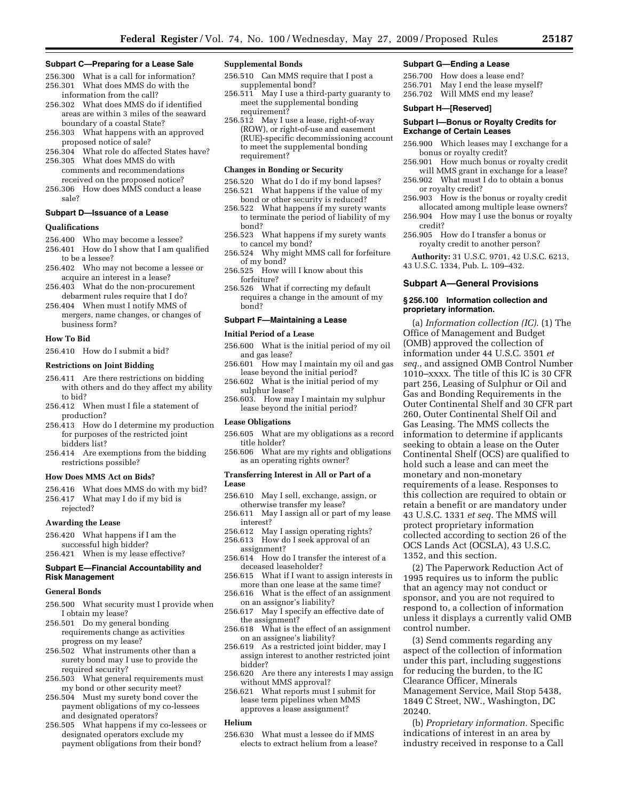#### **Subpart C—Preparing for a Lease Sale**

- 256.300 What is a call for information? 256.301 What does MMS do with the
- information from the call? 256.302 What does MMS do if identified areas are within 3 miles of the seaward boundary of a coastal State?
- 256.303 What happens with an approved proposed notice of sale?
- 256.304 What role do affected States have?
- 256.305 What does MMS do with comments and recommendations received on the proposed notice?
- 256.306 How does MMS conduct a lease sale?

## **Subpart D—Issuance of a Lease**

#### **Qualifications**

- 256.400 Who may become a lessee?
- 256.401 How do I show that I am qualified to be a lessee?
- 256.402 Who may not become a lessee or acquire an interest in a lease?
- 256.403 What do the non-procurement debarment rules require that I do?
- 256.404 When must I notify MMS of mergers, name changes, or changes of business form?

#### **How To Bid**

256.410 How do I submit a bid?

#### **Restrictions on Joint Bidding**

- 256.411 Are there restrictions on bidding with others and do they affect my ability to bid?
- 256.412 When must I file a statement of production?
- 256.413 How do I determine my production for purposes of the restricted joint bidders list?
- 256.414 Are exemptions from the bidding restrictions possible?

# **How Does MMS Act on Bids?**

256.416 What does MMS do with my bid? 256.417 What may I do if my bid is rejected?

#### **Awarding the Lease**

- 256.420 What happens if I am the successful high bidder? 256.421 When is my lease effective?
- 

# **Subpart E—Financial Accountability and Risk Management**

#### **General Bonds**

- 256.500 What security must I provide when I obtain my lease?
- 256.501 Do my general bonding requirements change as activities progress on my lease?
- 256.502 What instruments other than a surety bond may I use to provide the required security?
- 256.503 What general requirements must my bond or other security meet?
- 256.504 Must my surety bond cover the payment obligations of my co-lessees and designated operators?
- 256.505 What happens if my co-lessees or designated operators exclude my payment obligations from their bond?

#### **Supplemental Bonds**

- 256.510 Can MMS require that I post a supplemental bond?
- $256.511$  May I use a third-party guaranty to meet the supplemental bonding requirement?
- 256.512 May I use a lease, right-of-way (ROW), or right-of-use and easement (RUE)-specific decommissioning account to meet the supplemental bonding requirement?

#### **Changes in Bonding or Security**

- 256.520 What do I do if my bond lapses?
- 256.521 What happens if the value of my
- bond or other security is reduced? 256.522 What happens if my surety wants
- to terminate the period of liability of my bond?
- 256.523 What happens if my surety wants to cancel my bond?
- 256.524 Why might MMS call for forfeiture of my bond?
- 256.525 How will I know about this forfeiture?
- 256.526 What if correcting my default requires a change in the amount of my bond?

#### **Subpart F—Maintaining a Lease**

#### **Initial Period of a Lease**

- 256.600 What is the initial period of my oil and gas lease?
- 256.601 How may I maintain my oil and gas lease beyond the initial period?
- 256.602 What is the initial period of my sulphur lease?
- 256.603. How may I maintain my sulphur lease beyond the initial period?

#### **Lease Obligations**

- 256.605 What are my obligations as a record title holder?
- 256.606 What are my rights and obligations as an operating rights owner?

**Transferring Interest in All or Part of a Lease** 

- 256.610 May I sell, exchange, assign, or otherwise transfer my lease?
- 256.611 May I assign all or part of my lease interest?
- 256.612 May I assign operating rights?
- 256.613 How do I seek approval of an assignment?
- 256.614 How do I transfer the interest of a deceased leaseholder?
- 256.615 What if I want to assign interests in more than one lease at the same time?
- 256.616 What is the effect of an assignment
- on an assignor's liability? 256.617 May I specify an effective date of
- the assignment? 256.618 What is the effect of an assignment
- on an assignee's liability? 256.619 As a restricted joint bidder, may I assign interest to another restricted joint bidder?
- 256.620 Are there any interests I may assign without MMS approval?
- 256.621 What reports must I submit for lease term pipelines when MMS approves a lease assignment?

#### **Helium**

256.630 What must a lessee do if MMS elects to extract helium from a lease?

#### **Subpart G—Ending a Lease**

- 256.700 How does a lease end?
- 256.701 May I end the lease myself?
- 256.702 Will MMS end my lease?

#### **Subpart H—[Reserved]**

#### **Subpart I—Bonus or Royalty Credits for Exchange of Certain Leases**

- 256.900 Which leases may I exchange for a bonus or royalty credit?
- 256.901 How much bonus or royalty credit will MMS grant in exchange for a lease?
- 256.902 What must I do to obtain a bonus or royalty credit?
- 256.903 How is the bonus or royalty credit allocated among multiple lease owners?
- 256.904 How may I use the bonus or royalty credit?
- 256.905 How do I transfer a bonus or royalty credit to another person?

**Authority:** 31 U.S.C. 9701, 42 U.S.C. 6213, 43 U.S.C. 1334, Pub. L. 109–432.

#### **Subpart A—General Provisions**

## **§ 256.100 Information collection and proprietary information.**

(a) *Information collection (IC)*. (1) The Office of Management and Budget (OMB) approved the collection of information under 44 U.S.C. 3501 *et seq.*, and assigned OMB Control Number 1010–xxxx. The title of this IC is 30 CFR part 256, Leasing of Sulphur or Oil and Gas and Bonding Requirements in the Outer Continental Shelf and 30 CFR part 260, Outer Continental Shelf Oil and Gas Leasing. The MMS collects the information to determine if applicants seeking to obtain a lease on the Outer Continental Shelf (OCS) are qualified to hold such a lease and can meet the monetary and non-monetary requirements of a lease. Responses to this collection are required to obtain or retain a benefit or are mandatory under 43 U.S.C. 1331 *et seq.* The MMS will protect proprietary information collected according to section 26 of the OCS Lands Act (OCSLA), 43 U.S.C. 1352, and this section.

(2) The Paperwork Reduction Act of 1995 requires us to inform the public that an agency may not conduct or sponsor, and you are not required to respond to, a collection of information unless it displays a currently valid OMB control number.

(3) Send comments regarding any aspect of the collection of information under this part, including suggestions for reducing the burden, to the IC Clearance Officer, Minerals Management Service, Mail Stop 5438, 1849 C Street, NW., Washington, DC 20240.

(b) *Proprietary information.* Specific indications of interest in an area by industry received in response to a Call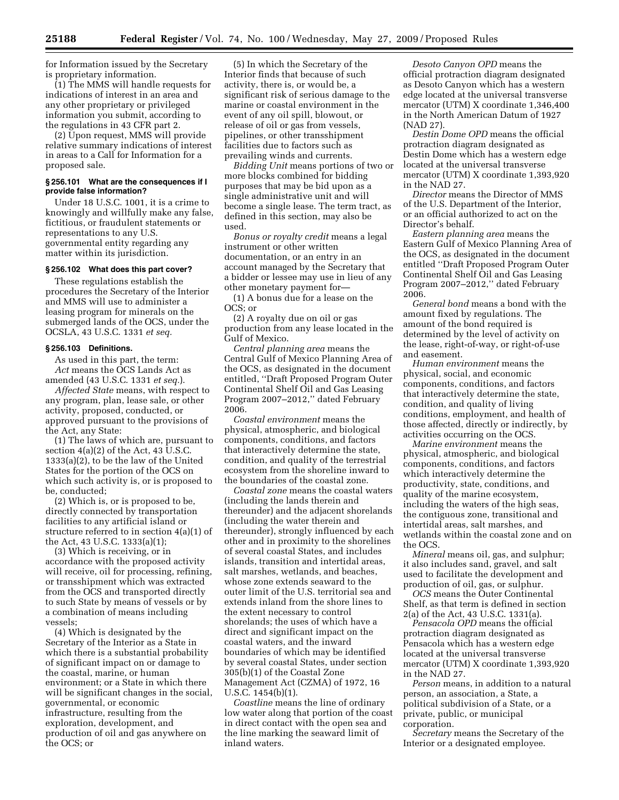for Information issued by the Secretary is proprietary information.

(1) The MMS will handle requests for indications of interest in an area and any other proprietary or privileged information you submit, according to the regulations in 43 CFR part 2.

(2) Upon request, MMS will provide relative summary indications of interest in areas to a Call for Information for a proposed sale.

#### **§ 256.101 What are the consequences if I provide false information?**

Under 18 U.S.C. 1001, it is a crime to knowingly and willfully make any false, fictitious, or fraudulent statements or representations to any U.S. governmental entity regarding any matter within its jurisdiction.

# **§ 256.102 What does this part cover?**

These regulations establish the procedures the Secretary of the Interior and MMS will use to administer a leasing program for minerals on the submerged lands of the OCS, under the OCSLA, 43 U.S.C. 1331 *et seq.* 

#### **§ 256.103 Definitions.**

As used in this part, the term: *Act* means the OCS Lands Act as amended (43 U.S.C. 1331 *et seq.*).

*Affected State* means, with respect to any program, plan, lease sale, or other activity, proposed, conducted, or approved pursuant to the provisions of the Act, any State:

(1) The laws of which are, pursuant to section 4(a)(2) of the Act, 43 U.S.C. 1333(a)(2), to be the law of the United States for the portion of the OCS on which such activity is, or is proposed to be, conducted;

(2) Which is, or is proposed to be, directly connected by transportation facilities to any artificial island or structure referred to in section 4(a)(1) of the Act, 43 U.S.C. 1333(a)(1);

(3) Which is receiving, or in accordance with the proposed activity will receive, oil for processing, refining, or transshipment which was extracted from the OCS and transported directly to such State by means of vessels or by a combination of means including vessels;

(4) Which is designated by the Secretary of the Interior as a State in which there is a substantial probability of significant impact on or damage to the coastal, marine, or human environment; or a State in which there will be significant changes in the social, governmental, or economic infrastructure, resulting from the exploration, development, and production of oil and gas anywhere on the OCS; or

(5) In which the Secretary of the Interior finds that because of such activity, there is, or would be, a significant risk of serious damage to the marine or coastal environment in the event of any oil spill, blowout, or release of oil or gas from vessels, pipelines, or other transshipment facilities due to factors such as prevailing winds and currents.

*Bidding Unit* means portions of two or more blocks combined for bidding purposes that may be bid upon as a single administrative unit and will become a single lease. The term tract, as defined in this section, may also be used.

*Bonus or royalty credit* means a legal instrument or other written documentation, or an entry in an account managed by the Secretary that a bidder or lessee may use in lieu of any other monetary payment for—

(1) A bonus due for a lease on the OCS; or

(2) A royalty due on oil or gas production from any lease located in the Gulf of Mexico.

*Central planning area* means the Central Gulf of Mexico Planning Area of the OCS, as designated in the document entitled, ''Draft Proposed Program Outer Continental Shelf Oil and Gas Leasing Program 2007–2012,'' dated February 2006.

*Coastal environment* means the physical, atmospheric, and biological components, conditions, and factors that interactively determine the state, condition, and quality of the terrestrial ecosystem from the shoreline inward to the boundaries of the coastal zone.

*Coastal zone* means the coastal waters (including the lands therein and thereunder) and the adjacent shorelands (including the water therein and thereunder), strongly influenced by each other and in proximity to the shorelines of several coastal States, and includes islands, transition and intertidal areas, salt marshes, wetlands, and beaches, whose zone extends seaward to the outer limit of the U.S. territorial sea and extends inland from the shore lines to the extent necessary to control shorelands; the uses of which have a direct and significant impact on the coastal waters, and the inward boundaries of which may be identified by several coastal States, under section 305(b)(1) of the Coastal Zone Management Act (CZMA) of 1972, 16 U.S.C. 1454(b)(1).

*Coastline* means the line of ordinary low water along that portion of the coast in direct contact with the open sea and the line marking the seaward limit of inland waters.

*Desoto Canyon OPD* means the official protraction diagram designated as Desoto Canyon which has a western edge located at the universal transverse mercator (UTM) X coordinate 1,346,400 in the North American Datum of 1927 (NAD 27).

*Destin Dome OPD* means the official protraction diagram designated as Destin Dome which has a western edge located at the universal transverse mercator (UTM) X coordinate 1,393,920 in the NAD 27.

*Director* means the Director of MMS of the U.S. Department of the Interior, or an official authorized to act on the Director's behalf.

*Eastern planning area* means the Eastern Gulf of Mexico Planning Area of the OCS, as designated in the document entitled ''Draft Proposed Program Outer Continental Shelf Oil and Gas Leasing Program 2007–2012,'' dated February 2006.

*General bond* means a bond with the amount fixed by regulations. The amount of the bond required is determined by the level of activity on the lease, right-of-way, or right-of-use and easement.

*Human environment* means the physical, social, and economic components, conditions, and factors that interactively determine the state, condition, and quality of living conditions, employment, and health of those affected, directly or indirectly, by activities occurring on the OCS.

*Marine environment* means the physical, atmospheric, and biological components, conditions, and factors which interactively determine the productivity, state, conditions, and quality of the marine ecosystem, including the waters of the high seas, the contiguous zone, transitional and intertidal areas, salt marshes, and wetlands within the coastal zone and on the OCS.

*Mineral* means oil, gas, and sulphur; it also includes sand, gravel, and salt used to facilitate the development and production of oil, gas, or sulphur.

*OCS* means the Outer Continental Shelf, as that term is defined in section 2(a) of the Act, 43 U.S.C. 1331(a).

*Pensacola OPD* means the official protraction diagram designated as Pensacola which has a western edge located at the universal transverse mercator (UTM) X coordinate 1,393,920 in the NAD 27.

*Person* means, in addition to a natural person, an association, a State, a political subdivision of a State, or a private, public, or municipal corporation.

*Secretary* means the Secretary of the Interior or a designated employee.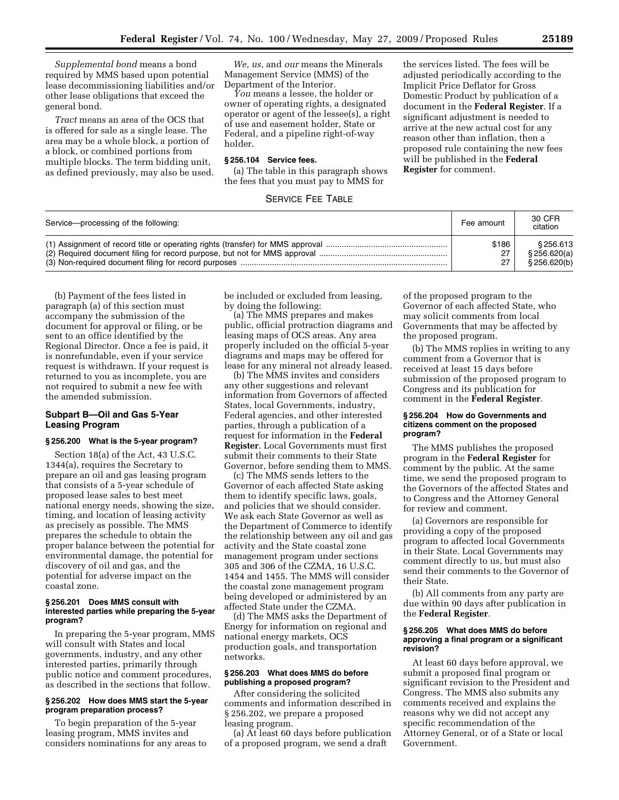*Supplemental bond* means a bond required by MMS based upon potential lease decommissioning liabilities and/or other lease obligations that exceed the general bond.

*Tract* means an area of the OCS that is offered for sale as a single lease. The area may be a whole block, a portion of a block, or combined portions from multiple blocks. The term bidding unit, as defined previously, may also be used.

*We, us,* and *our* means the Minerals Management Service (MMS) of the Department of the Interior.

*You* means a lessee, the holder or owner of operating rights, a designated operator or agent of the lessee(s), a right of use and easement holder, State or Federal, and a pipeline right-of-way holder.

# **§ 256.104 Service fees.**

(a) The table in this paragraph shows the fees that you must pay to MMS for

SERVICE FEE TABLE

the services listed. The fees will be adjusted periodically according to the Implicit Price Deflator for Gross Domestic Product by publication of a document in the **Federal Register**. If a significant adjustment is needed to arrive at the new actual cost for any reason other than inflation, then a proposed rule containing the new fees will be published in the **Federal Register** for comment.

| Service-processing of the following: | Fee amount | 30 CFR<br>citation |
|--------------------------------------|------------|--------------------|
|                                      | \$186      | \$256.613          |
|                                      | 27         | \$256.620(a)       |
|                                      | 27         | \$256.620(b)       |

(b) Payment of the fees listed in paragraph (a) of this section must accompany the submission of the document for approval or filing, or be sent to an office identified by the Regional Director. Once a fee is paid, it is nonrefundable, even if your service request is withdrawn. If your request is returned to you as incomplete, you are not required to submit a new fee with the amended submission.

# **Subpart B—Oil and Gas 5-Year Leasing Program**

#### **§ 256.200 What is the 5-year program?**

Section 18(a) of the Act, 43 U.S.C. 1344(a), requires the Secretary to prepare an oil and gas leasing program that consists of a 5-year schedule of proposed lease sales to best meet national energy needs, showing the size, timing, and location of leasing activity as precisely as possible. The MMS prepares the schedule to obtain the proper balance between the potential for environmental damage, the potential for discovery of oil and gas, and the potential for adverse impact on the coastal zone.

#### **§ 256.201 Does MMS consult with interested parties while preparing the 5-year program?**

In preparing the 5-year program, MMS will consult with States and local governments, industry, and any other interested parties, primarily through public notice and comment procedures, as described in the sections that follow.

# **§ 256.202 How does MMS start the 5-year program preparation process?**

To begin preparation of the 5-year leasing program, MMS invites and considers nominations for any areas to be included or excluded from leasing, by doing the following:

(a) The MMS prepares and makes public, official protraction diagrams and leasing maps of OCS areas. Any area properly included on the official 5-year diagrams and maps may be offered for lease for any mineral not already leased.

(b) The MMS invites and considers any other suggestions and relevant information from Governors of affected States, local Governments, industry, Federal agencies, and other interested parties, through a publication of a request for information in the **Federal Register**. Local Governments must first submit their comments to their State Governor, before sending them to MMS.

(c) The MMS sends letters to the Governor of each affected State asking them to identify specific laws, goals, and policies that we should consider. We ask each State Governor as well as the Department of Commerce to identify the relationship between any oil and gas activity and the State coastal zone management program under sections 305 and 306 of the CZMA, 16 U.S.C. 1454 and 1455. The MMS will consider the coastal zone management program being developed or administered by an affected State under the CZMA.

(d) The MMS asks the Department of Energy for information on regional and national energy markets, OCS production goals, and transportation networks.

# **§ 256.203 What does MMS do before publishing a proposed program?**

After considering the solicited comments and information described in § 256.202, we prepare a proposed leasing program.

(a) At least 60 days before publication of a proposed program, we send a draft

of the proposed program to the Governor of each affected State, who may solicit comments from local Governments that may be affected by the proposed program.

(b) The MMS replies in writing to any comment from a Governor that is received at least 15 days before submission of the proposed program to Congress and its publication for comment in the **Federal Register**.

#### **§ 256.204 How do Governments and citizens comment on the proposed program?**

The MMS publishes the proposed program in the **Federal Register** for comment by the public. At the same time, we send the proposed program to the Governors of the affected States and to Congress and the Attorney General for review and comment.

(a) Governors are responsible for providing a copy of the proposed program to affected local Governments in their State. Local Governments may comment directly to us, but must also send their comments to the Governor of their State.

(b) All comments from any party are due within 90 days after publication in the **Federal Register**.

#### **§ 256.205 What does MMS do before approving a final program or a significant revision?**

At least 60 days before approval, we submit a proposed final program or significant revision to the President and Congress. The MMS also submits any comments received and explains the reasons why we did not accept any specific recommendation of the Attorney General, or of a State or local Government.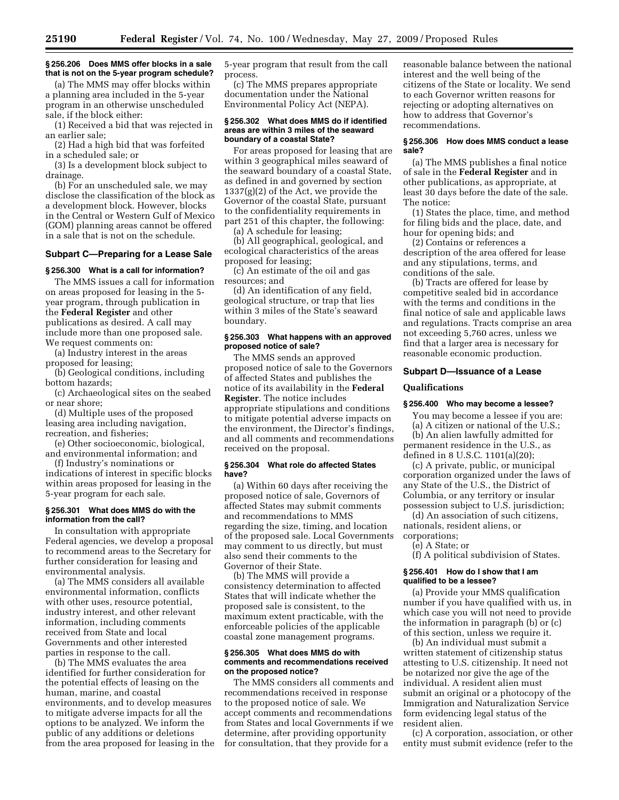## **§ 256.206 Does MMS offer blocks in a sale that is not on the 5-year program schedule?**

(a) The MMS may offer blocks within a planning area included in the 5-year program in an otherwise unscheduled sale, if the block either:

(1) Received a bid that was rejected in an earlier sale;

(2) Had a high bid that was forfeited in a scheduled sale; or

(3) Is a development block subject to drainage.

(b) For an unscheduled sale, we may disclose the classification of the block as a development block. However, blocks in the Central or Western Gulf of Mexico (GOM) planning areas cannot be offered in a sale that is not on the schedule.

# **Subpart C—Preparing for a Lease Sale**

## **§ 256.300 What is a call for information?**

The MMS issues a call for information on areas proposed for leasing in the 5 year program, through publication in the **Federal Register** and other publications as desired. A call may include more than one proposed sale. We request comments on:

(a) Industry interest in the areas proposed for leasing;

(b) Geological conditions, including bottom hazards;

(c) Archaeological sites on the seabed or near shore;

(d) Multiple uses of the proposed leasing area including navigation, recreation, and fisheries;

(e) Other socioeconomic, biological, and environmental information; and

(f) Industry's nominations or indications of interest in specific blocks within areas proposed for leasing in the 5-year program for each sale.

## **§ 256.301 What does MMS do with the information from the call?**

In consultation with appropriate Federal agencies, we develop a proposal to recommend areas to the Secretary for further consideration for leasing and environmental analysis.

(a) The MMS considers all available environmental information, conflicts with other uses, resource potential, industry interest, and other relevant information, including comments received from State and local Governments and other interested parties in response to the call.

(b) The MMS evaluates the area identified for further consideration for the potential effects of leasing on the human, marine, and coastal environments, and to develop measures to mitigate adverse impacts for all the options to be analyzed. We inform the public of any additions or deletions from the area proposed for leasing in the 5-year program that result from the call process.

(c) The MMS prepares appropriate documentation under the National Environmental Policy Act (NEPA).

#### **§ 256.302 What does MMS do if identified areas are within 3 miles of the seaward boundary of a coastal State?**

For areas proposed for leasing that are within 3 geographical miles seaward of the seaward boundary of a coastal State, as defined in and governed by section 1337(g)(2) of the Act, we provide the Governor of the coastal State, pursuant to the confidentiality requirements in part 251 of this chapter, the following:

(a) A schedule for leasing;

(b) All geographical, geological, and ecological characteristics of the areas proposed for leasing;

(c) An estimate of the oil and gas resources; and

(d) An identification of any field, geological structure, or trap that lies within 3 miles of the State's seaward boundary.

#### **§ 256.303 What happens with an approved proposed notice of sale?**

The MMS sends an approved proposed notice of sale to the Governors of affected States and publishes the notice of its availability in the **Federal Register**. The notice includes appropriate stipulations and conditions to mitigate potential adverse impacts on the environment, the Director's findings, and all comments and recommendations received on the proposal.

#### **§ 256.304 What role do affected States have?**

(a) Within 60 days after receiving the proposed notice of sale, Governors of affected States may submit comments and recommendations to MMS regarding the size, timing, and location of the proposed sale. Local Governments may comment to us directly, but must also send their comments to the Governor of their State.

(b) The MMS will provide a consistency determination to affected States that will indicate whether the proposed sale is consistent, to the maximum extent practicable, with the enforceable policies of the applicable coastal zone management programs.

#### **§ 256.305 What does MMS do with comments and recommendations received on the proposed notice?**

The MMS considers all comments and recommendations received in response to the proposed notice of sale. We accept comments and recommendations from States and local Governments if we determine, after providing opportunity for consultation, that they provide for a

reasonable balance between the national interest and the well being of the citizens of the State or locality. We send to each Governor written reasons for rejecting or adopting alternatives on how to address that Governor's recommendations.

#### **§ 256.306 How does MMS conduct a lease sale?**

(a) The MMS publishes a final notice of sale in the **Federal Register** and in other publications, as appropriate, at least 30 days before the date of the sale. The notice:

(1) States the place, time, and method for filing bids and the place, date, and hour for opening bids; and

(2) Contains or references a description of the area offered for lease and any stipulations, terms, and conditions of the sale.

(b) Tracts are offered for lease by competitive sealed bid in accordance with the terms and conditions in the final notice of sale and applicable laws and regulations. Tracts comprise an area not exceeding 5,760 acres, unless we find that a larger area is necessary for reasonable economic production.

#### **Subpart D—Issuance of a Lease**

## **Qualifications**

#### **§ 256.400 Who may become a lessee?**

You may become a lessee if you are: (a) A citizen or national of the U.S.;

(b) An alien lawfully admitted for permanent residence in the U.S., as defined in 8 U.S.C. 1101(a)(20);

(c) A private, public, or municipal corporation organized under the laws of any State of the U.S., the District of Columbia, or any territory or insular possession subject to U.S. jurisdiction;

(d) An association of such citizens, nationals, resident aliens, or corporations;

(e) A State; or

(f) A political subdivision of States.

#### **§ 256.401 How do I show that I am qualified to be a lessee?**

(a) Provide your MMS qualification number if you have qualified with us, in which case you will not need to provide the information in paragraph (b) or (c) of this section, unless we require it.

(b) An individual must submit a written statement of citizenship status attesting to U.S. citizenship. It need not be notarized nor give the age of the individual. A resident alien must submit an original or a photocopy of the Immigration and Naturalization Service form evidencing legal status of the resident alien.

(c) A corporation, association, or other entity must submit evidence (refer to the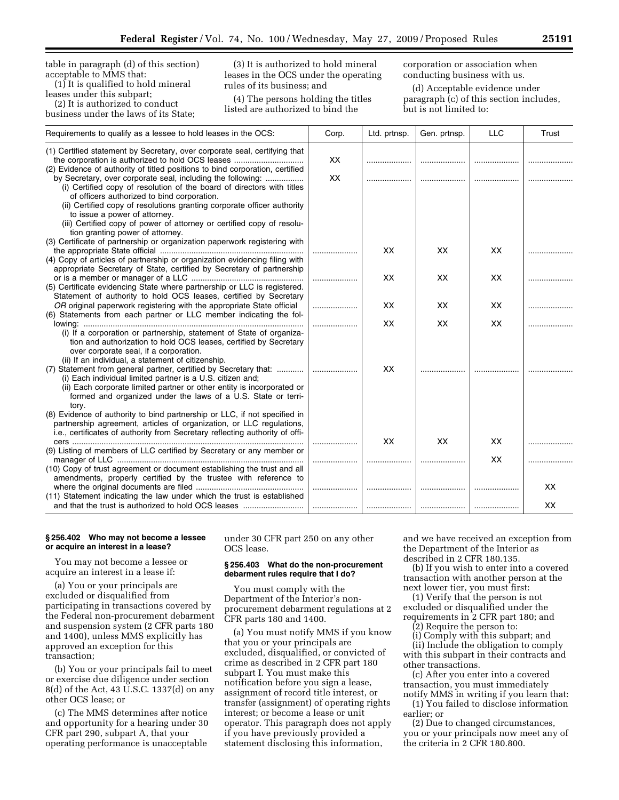table in paragraph (d) of this section) acceptable to MMS that: (1) It is qualified to hold mineral

leases under this subpart;

(2) It is authorized to conduct business under the laws of its State;

(3) It is authorized to hold mineral leases in the OCS under the operating rules of its business; and

(4) The persons holding the titles listed are authorized to bind the

corporation or association when conducting business with us.

(d) Acceptable evidence under paragraph (c) of this section includes, but is not limited to:

| Requirements to qualify as a lessee to hold leases in the OCS:                                                                                                                                                                                                                     | Corp.     | Ltd. prtnsp. | Gen. prtnsp. | <b>LLC</b> | Trust |
|------------------------------------------------------------------------------------------------------------------------------------------------------------------------------------------------------------------------------------------------------------------------------------|-----------|--------------|--------------|------------|-------|
| (1) Certified statement by Secretary, over corporate seal, certifying that<br>the corporation is authorized to hold OCS leases<br>(2) Evidence of authority of titled positions to bind corporation, certified                                                                     | XX        |              |              |            |       |
| by Secretary, over corporate seal, including the following:<br>(i) Certified copy of resolution of the board of directors with titles<br>of officers authorized to bind corporation.<br>(ii) Certified copy of resolutions granting corporate officer authority                    | <b>XX</b> |              |              |            |       |
| to issue a power of attorney.<br>(iii) Certified copy of power of attorney or certified copy of resolu-<br>tion granting power of attorney.                                                                                                                                        |           |              |              |            |       |
| (3) Certificate of partnership or organization paperwork registering with                                                                                                                                                                                                          |           | XX           | XX           | XX         |       |
| (4) Copy of articles of partnership or organization evidencing filing with<br>appropriate Secretary of State, certified by Secretary of partnership                                                                                                                                |           |              |              |            |       |
| (5) Certificate evidencing State where partnership or LLC is registered.<br>Statement of authority to hold OCS leases, certified by Secretary                                                                                                                                      | .         | XX           | XX           | XX         |       |
| OR original paperwork registering with the appropriate State official<br>(6) Statements from each partner or LLC member indicating the fol-                                                                                                                                        | .         | XX.          | XX           | XX         |       |
| (i) If a corporation or partnership, statement of State of organiza-<br>tion and authorization to hold OCS leases, certified by Secretary<br>over corporate seal, if a corporation.<br>(ii) If an individual, a statement of citizenship.                                          | .         | XX           | XX           | XX         |       |
| (7) Statement from general partner, certified by Secretary that:<br>(i) Each individual limited partner is a U.S. citizen and;<br>(ii) Each corporate limited partner or other entity is incorporated or<br>formed and organized under the laws of a U.S. State or terri-<br>tory. | l         | XX           |              |            |       |
| (8) Evidence of authority to bind partnership or LLC, if not specified in<br>partnership agreement, articles of organization, or LLC regulations,<br>i.e., certificates of authority from Secretary reflecting authority of offi-                                                  |           |              |              |            |       |
| (9) Listing of members of LLC certified by Secretary or any member or                                                                                                                                                                                                              |           | XX           | XX           | XX         |       |
| (10) Copy of trust agreement or document establishing the trust and all                                                                                                                                                                                                            |           |              |              | XX         |       |
| amendments, properly certified by the trustee with reference to                                                                                                                                                                                                                    |           |              |              |            | XX.   |
| (11) Statement indicating the law under which the trust is established<br>and that the trust is authorized to hold OCS leases                                                                                                                                                      |           |              |              |            | XХ    |
|                                                                                                                                                                                                                                                                                    |           |              |              |            |       |

#### **§ 256.402 Who may not become a lessee or acquire an interest in a lease?**

You may not become a lessee or acquire an interest in a lease if:

(a) You or your principals are excluded or disqualified from participating in transactions covered by the Federal non-procurement debarment and suspension system (2 CFR parts 180 and 1400), unless MMS explicitly has approved an exception for this transaction;

(b) You or your principals fail to meet or exercise due diligence under section 8(d) of the Act, 43 U.S.C. 1337(d) on any other OCS lease; or

(c) The MMS determines after notice and opportunity for a hearing under 30 CFR part 290, subpart A, that your operating performance is unacceptable

under 30 CFR part 250 on any other OCS lease.

## **§ 256.403 What do the non-procurement debarment rules require that I do?**

You must comply with the Department of the Interior's nonprocurement debarment regulations at 2 CFR parts 180 and 1400.

(a) You must notify MMS if you know that you or your principals are excluded, disqualified, or convicted of crime as described in 2 CFR part 180 subpart I. You must make this notification before you sign a lease, assignment of record title interest, or transfer (assignment) of operating rights interest; or become a lease or unit operator. This paragraph does not apply if you have previously provided a statement disclosing this information,

and we have received an exception from the Department of the Interior as described in 2 CFR 180.135.

(b) If you wish to enter into a covered transaction with another person at the next lower tier, you must first:

(1) Verify that the person is not excluded or disqualified under the requirements in 2 CFR part 180; and

(2) Require the person to: (i) Comply with this subpart; and

(ii) Include the obligation to comply with this subpart in their contracts and other transactions.

(c) After you enter into a covered transaction, you must immediately notify MMS in writing if you learn that:

(1) You failed to disclose information earlier; or

(2) Due to changed circumstances, you or your principals now meet any of the criteria in 2 CFR 180.800.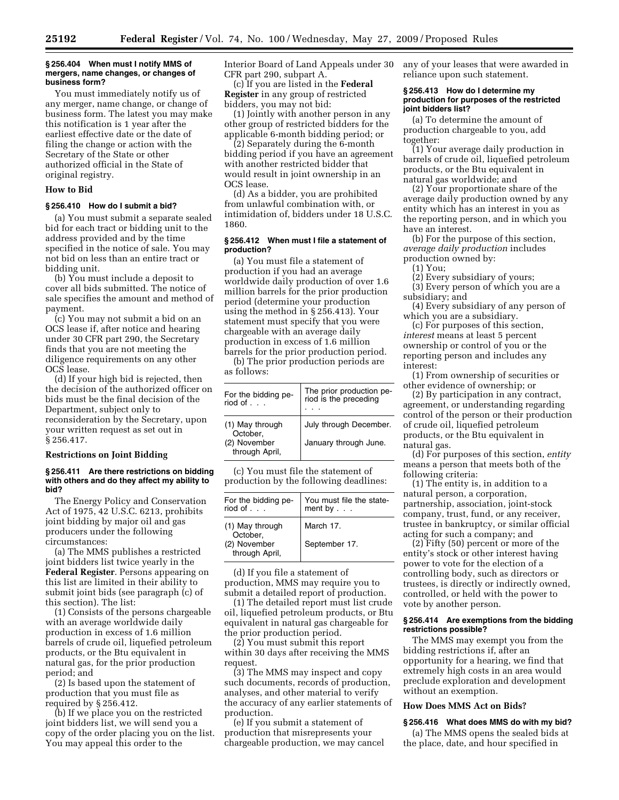#### **§ 256.404 When must I notify MMS of mergers, name changes, or changes of business form?**

You must immediately notify us of any merger, name change, or change of business form. The latest you may make this notification is 1 year after the earliest effective date or the date of filing the change or action with the Secretary of the State or other authorized official in the State of original registry.

#### **How to Bid**

#### **§ 256.410 How do I submit a bid?**

(a) You must submit a separate sealed bid for each tract or bidding unit to the address provided and by the time specified in the notice of sale. You may not bid on less than an entire tract or bidding unit.

(b) You must include a deposit to cover all bids submitted. The notice of sale specifies the amount and method of payment.

(c) You may not submit a bid on an OCS lease if, after notice and hearing under 30 CFR part 290, the Secretary finds that you are not meeting the diligence requirements on any other OCS lease.

(d) If your high bid is rejected, then the decision of the authorized officer on bids must be the final decision of the Department, subject only to reconsideration by the Secretary, upon your written request as set out in § 256.417.

## **Restrictions on Joint Bidding**

#### **§ 256.411 Are there restrictions on bidding with others and do they affect my ability to bid?**

The Energy Policy and Conservation Act of 1975, 42 U.S.C. 6213, prohibits joint bidding by major oil and gas producers under the following circumstances:

(a) The MMS publishes a restricted joint bidders list twice yearly in the **Federal Register**. Persons appearing on this list are limited in their ability to submit joint bids (see paragraph (c) of this section). The list:

(1) Consists of the persons chargeable with an average worldwide daily production in excess of 1.6 million barrels of crude oil, liquefied petroleum products, or the Btu equivalent in natural gas, for the prior production period; and

(2) Is based upon the statement of production that you must file as required by § 256.412.

(b) If we place you on the restricted joint bidders list, we will send you a copy of the order placing you on the list. You may appeal this order to the

Interior Board of Land Appeals under 30 CFR part 290, subpart A.

(c) If you are listed in the **Federal Register** in any group of restricted bidders, you may not bid:

(1) Jointly with another person in any other group of restricted bidders for the applicable 6-month bidding period; or

(2) Separately during the 6-month bidding period if you have an agreement with another restricted bidder that would result in joint ownership in an OCS lease.

(d) As a bidder, you are prohibited from unlawful combination with, or intimidation of, bidders under 18 U.S.C. 1860.

# **§ 256.412 When must I file a statement of production?**

(a) You must file a statement of production if you had an average worldwide daily production of over 1.6 million barrels for the prior production period (determine your production using the method in § 256.413). Your statement must specify that you were chargeable with an average daily production in excess of 1.6 million barrels for the prior production period.

(b) The prior production periods are as follows:

| For the bidding pe-                                           | The prior production pe-                        |
|---------------------------------------------------------------|-------------------------------------------------|
| riod of $\ldots$                                              | riod is the preceding                           |
| (1) May through<br>October,<br>(2) November<br>through April, | July through December.<br>January through June. |

(c) You must file the statement of production by the following deadlines:

| For the bidding pe-<br>riod of $\ldots$ | You must file the state-<br>ment by $\ldots$ |
|-----------------------------------------|----------------------------------------------|
| (1) May through<br>October,             | March 17.                                    |
| (2) November<br>through April,          | September 17.                                |

(d) If you file a statement of production, MMS may require you to submit a detailed report of production.

(1) The detailed report must list crude oil, liquefied petroleum products, or Btu equivalent in natural gas chargeable for the prior production period.

(2) You must submit this report within 30 days after receiving the MMS request.

(3) The MMS may inspect and copy such documents, records of production, analyses, and other material to verify the accuracy of any earlier statements of production.

(e) If you submit a statement of production that misrepresents your chargeable production, we may cancel any of your leases that were awarded in reliance upon such statement.

#### **§ 256.413 How do I determine my production for purposes of the restricted joint bidders list?**

(a) To determine the amount of production chargeable to you, add together:

(1) Your average daily production in barrels of crude oil, liquefied petroleum products, or the Btu equivalent in natural gas worldwide; and

(2) Your proportionate share of the average daily production owned by any entity which has an interest in you as the reporting person, and in which you have an interest.

(b) For the purpose of this section, *average daily production* includes production owned by:

(1) You;

(2) Every subsidiary of yours;

(3) Every person of which you are a subsidiary; and

(4) Every subsidiary of any person of which you are a subsidiary.

(c) For purposes of this section, *interest* means at least 5 percent ownership or control of you or the reporting person and includes any interest:

(1) From ownership of securities or other evidence of ownership; or

(2) By participation in any contract, agreement, or understanding regarding control of the person or their production of crude oil, liquefied petroleum products, or the Btu equivalent in natural gas.

(d) For purposes of this section, *entity*  means a person that meets both of the following criteria:

(1) The entity is, in addition to a natural person, a corporation, partnership, association, joint-stock company, trust, fund, or any receiver, trustee in bankruptcy, or similar official acting for such a company; and

(2) Fifty (50) percent or more of the entity's stock or other interest having power to vote for the election of a controlling body, such as directors or trustees, is directly or indirectly owned, controlled, or held with the power to vote by another person.

## **§ 256.414 Are exemptions from the bidding restrictions possible?**

The MMS may exempt you from the bidding restrictions if, after an opportunity for a hearing, we find that extremely high costs in an area would preclude exploration and development without an exemption.

# **How Does MMS Act on Bids?**

# **§ 256.416 What does MMS do with my bid?**

(a) The MMS opens the sealed bids at the place, date, and hour specified in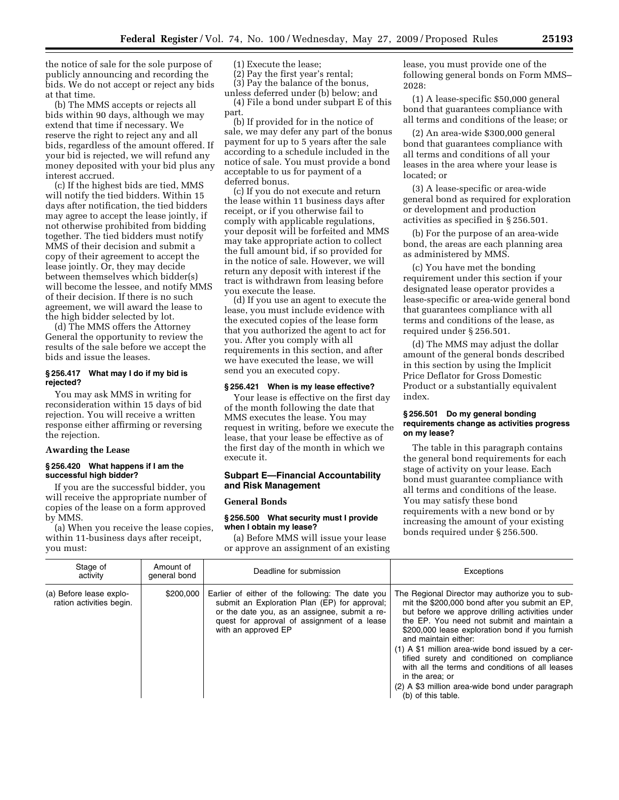the notice of sale for the sole purpose of publicly announcing and recording the bids. We do not accept or reject any bids at that time.

(b) The MMS accepts or rejects all bids within 90 days, although we may extend that time if necessary. We reserve the right to reject any and all bids, regardless of the amount offered. If your bid is rejected, we will refund any money deposited with your bid plus any interest accrued.

(c) If the highest bids are tied, MMS will notify the tied bidders. Within 15 days after notification, the tied bidders may agree to accept the lease jointly, if not otherwise prohibited from bidding together. The tied bidders must notify MMS of their decision and submit a copy of their agreement to accept the lease jointly. Or, they may decide between themselves which bidder(s) will become the lessee, and notify MMS of their decision. If there is no such agreement, we will award the lease to the high bidder selected by lot.

(d) The MMS offers the Attorney General the opportunity to review the results of the sale before we accept the bids and issue the leases.

## **§ 256.417 What may I do if my bid is rejected?**

You may ask MMS in writing for reconsideration within 15 days of bid rejection. You will receive a written response either affirming or reversing the rejection.

# **Awarding the Lease**

## **§ 256.420 What happens if I am the successful high bidder?**

If you are the successful bidder, you will receive the appropriate number of copies of the lease on a form approved by MMS.

(a) When you receive the lease copies, within 11-business days after receipt, you must:

(1) Execute the lease;

(2) Pay the first year's rental; (3) Pay the balance of the bonus,

unless deferred under (b) below; and

(4) File a bond under subpart E of this part.

(b) If provided for in the notice of sale, we may defer any part of the bonus payment for up to 5 years after the sale according to a schedule included in the notice of sale. You must provide a bond acceptable to us for payment of a deferred bonus.

(c) If you do not execute and return the lease within 11 business days after receipt, or if you otherwise fail to comply with applicable regulations, your deposit will be forfeited and MMS may take appropriate action to collect the full amount bid, if so provided for in the notice of sale. However, we will return any deposit with interest if the tract is withdrawn from leasing before you execute the lease.

(d) If you use an agent to execute the lease, you must include evidence with the executed copies of the lease form that you authorized the agent to act for you. After you comply with all requirements in this section, and after we have executed the lease, we will send you an executed copy.

# **§ 256.421 When is my lease effective?**

Your lease is effective on the first day of the month following the date that MMS executes the lease. You may request in writing, before we execute the lease, that your lease be effective as of the first day of the month in which we execute it.

## **Subpart E—Financial Accountability and Risk Management**

#### **General Bonds**

## **§ 256.500 What security must I provide when I obtain my lease?**

(a) Before MMS will issue your lease or approve an assignment of an existing lease, you must provide one of the following general bonds on Form MMS– 2028:

(1) A lease-specific \$50,000 general bond that guarantees compliance with all terms and conditions of the lease; or

(2) An area-wide \$300,000 general bond that guarantees compliance with all terms and conditions of all your leases in the area where your lease is located; or

(3) A lease-specific or area-wide general bond as required for exploration or development and production activities as specified in § 256.501.

(b) For the purpose of an area-wide bond, the areas are each planning area as administered by MMS.

(c) You have met the bonding requirement under this section if your designated lease operator provides a lease-specific or area-wide general bond that guarantees compliance with all terms and conditions of the lease, as required under § 256.501.

(d) The MMS may adjust the dollar amount of the general bonds described in this section by using the Implicit Price Deflator for Gross Domestic Product or a substantially equivalent index.

# **§ 256.501 Do my general bonding requirements change as activities progress on my lease?**

The table in this paragraph contains the general bond requirements for each stage of activity on your lease. Each bond must guarantee compliance with all terms and conditions of the lease. You may satisfy these bond requirements with a new bond or by increasing the amount of your existing bonds required under § 256.500.

| Stage of<br>activity                                | Amount of<br>general bond | Deadline for submission                                                                                                                                                                                                  | Exceptions                                                                                                                                                                                                                                                                                                                                                                                                                                                                                                                        |
|-----------------------------------------------------|---------------------------|--------------------------------------------------------------------------------------------------------------------------------------------------------------------------------------------------------------------------|-----------------------------------------------------------------------------------------------------------------------------------------------------------------------------------------------------------------------------------------------------------------------------------------------------------------------------------------------------------------------------------------------------------------------------------------------------------------------------------------------------------------------------------|
| (a) Before lease explo-<br>ration activities begin. | \$200,000                 | Earlier of either of the following: The date you<br>submit an Exploration Plan (EP) for approval;<br>or the date you, as an assignee, submit a re-<br>quest for approval of assignment of a lease<br>with an approved EP | The Regional Director may authorize you to sub-<br>mit the \$200,000 bond after you submit an EP,<br>but before we approve drilling activities under<br>the EP. You need not submit and maintain a<br>\$200,000 lease exploration bond if you furnish<br>and maintain either:<br>(1) A \$1 million area-wide bond issued by a cer-<br>tified surety and conditioned on compliance<br>with all the terms and conditions of all leases<br>in the area; or<br>(2) A \$3 million area-wide bond under paragraph<br>(b) of this table. |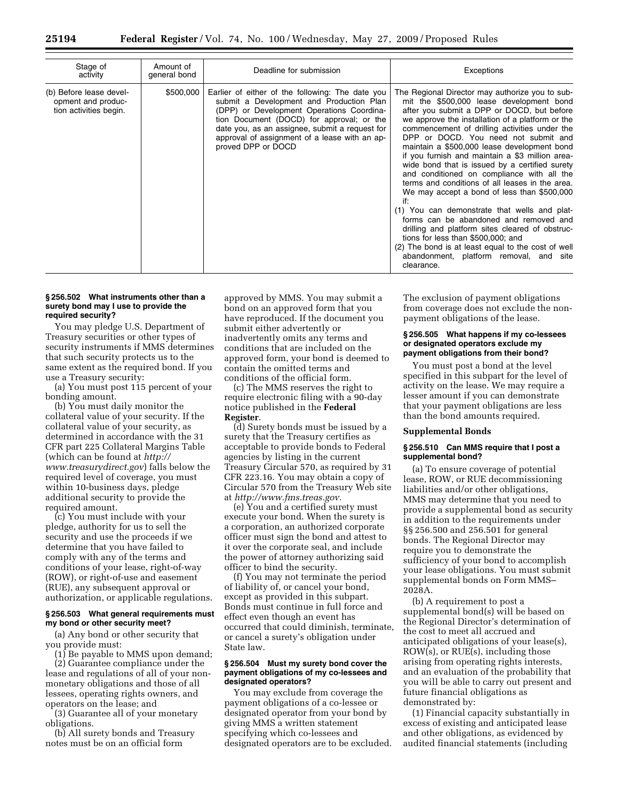| Stage of<br>activity                                                    | Amount of<br>general bond | Deadline for submission                                                                                                                                                                                                                                                                                         | Exceptions                                                                                                                                                                                                                                                                                                                                                                                                                                                                                                                                                                                                                                                                                                                                                                                                                                                                                          |
|-------------------------------------------------------------------------|---------------------------|-----------------------------------------------------------------------------------------------------------------------------------------------------------------------------------------------------------------------------------------------------------------------------------------------------------------|-----------------------------------------------------------------------------------------------------------------------------------------------------------------------------------------------------------------------------------------------------------------------------------------------------------------------------------------------------------------------------------------------------------------------------------------------------------------------------------------------------------------------------------------------------------------------------------------------------------------------------------------------------------------------------------------------------------------------------------------------------------------------------------------------------------------------------------------------------------------------------------------------------|
| (b) Before lease devel-<br>opment and produc-<br>tion activities begin. | \$500,000                 | Earlier of either of the following: The date you<br>submit a Development and Production Plan<br>(DPP) or Development Operations Coordina-<br>tion Document (DOCD) for approval; or the<br>date you, as an assignee, submit a request for<br>approval of assignment of a lease with an ap-<br>proved DPP or DOCD | The Regional Director may authorize you to sub-<br>mit the \$500,000 lease development bond<br>after you submit a DPP or DOCD, but before<br>we approve the installation of a platform or the<br>commencement of drilling activities under the<br>DPP or DOCD. You need not submit and<br>maintain a \$500,000 lease development bond<br>if you furnish and maintain a \$3 million area-<br>wide bond that is issued by a certified surety<br>and conditioned on compliance with all the<br>terms and conditions of all leases in the area.<br>We may accept a bond of less than \$500,000<br>if:<br>(1) You can demonstrate that wells and plat-<br>forms can be abandoned and removed and<br>drilling and platform sites cleared of obstruc-<br>tions for less than \$500,000; and<br>(2) The bond is at least equal to the cost of well<br>abandonment, platform removal, and site<br>clearance. |

#### **§ 256.502 What instruments other than a surety bond may I use to provide the required security?**

You may pledge U.S. Department of Treasury securities or other types of security instruments if MMS determines that such security protects us to the same extent as the required bond. If you use a Treasury security:

(a) You must post 115 percent of your bonding amount.

(b) You must daily monitor the collateral value of your security. If the collateral value of your security, as determined in accordance with the 31 CFR part 225 Collateral Margins Table [\(which can be found at](http://www.treasurydirect.gov) *http:// www.treasurydirect.gov*) falls below the required level of coverage, you must within 10-business days, pledge additional security to provide the required amount.

(c) You must include with your pledge, authority for us to sell the security and use the proceeds if we determine that you have failed to comply with any of the terms and conditions of your lease, right-of-way (ROW), or right-of-use and easement (RUE), any subsequent approval or authorization, or applicable regulations.

# **§ 256.503 What general requirements must my bond or other security meet?**

(a) Any bond or other security that you provide must:

(1) Be payable to MMS upon demand; (2) Guarantee compliance under the

lease and regulations of all of your nonmonetary obligations and those of all lessees, operating rights owners, and operators on the lease; and

(3) Guarantee all of your monetary obligations.

(b) All surety bonds and Treasury notes must be on an official form

approved by MMS. You may submit a bond on an approved form that you have reproduced. If the document you submit either advertently or inadvertently omits any terms and conditions that are included on the approved form, your bond is deemed to contain the omitted terms and conditions of the official form.

(c) The MMS reserves the right to require electronic filing with a 90-day notice published in the **Federal Register**.

(d) Surety bonds must be issued by a surety that the Treasury certifies as acceptable to provide bonds to Federal agencies by listing in the current Treasury Circular 570, as required by 31 CFR 223.16. You may obtain a copy of Circular 570 from the Treasury Web site at *[http://www.fms.treas.gov.](http://www.fms.treas.gov)* 

(e) You and a certified surety must execute your bond. When the surety is a corporation, an authorized corporate officer must sign the bond and attest to it over the corporate seal, and include the power of attorney authorizing said officer to bind the security.

(f) You may not terminate the period of liability of, or cancel your bond, except as provided in this subpart. Bonds must continue in full force and effect even though an event has occurred that could diminish, terminate, or cancel a surety's obligation under State law.

#### **§ 256.504 Must my surety bond cover the payment obligations of my co-lessees and designated operators?**

You may exclude from coverage the payment obligations of a co-lessee or designated operator from your bond by giving MMS a written statement specifying which co-lessees and designated operators are to be excluded.

The exclusion of payment obligations from coverage does not exclude the nonpayment obligations of the lease.

#### **§ 256.505 What happens if my co-lessees or designated operators exclude my payment obligations from their bond?**

You must post a bond at the level specified in this subpart for the level of activity on the lease. We may require a lesser amount if you can demonstrate that your payment obligations are less than the bond amounts required.

#### **Supplemental Bonds**

#### **§ 256.510 Can MMS require that I post a supplemental bond?**

(a) To ensure coverage of potential lease, ROW, or RUE decommissioning liabilities and/or other obligations, MMS may determine that you need to provide a supplemental bond as security in addition to the requirements under §§ 256.500 and 256.501 for general bonds. The Regional Director may require you to demonstrate the sufficiency of your bond to accomplish your lease obligations. You must submit supplemental bonds on Form MMS– 2028A.

(b) A requirement to post a supplemental bond(s) will be based on the Regional Director's determination of the cost to meet all accrued and anticipated obligations of your lease(s), ROW(s), or RUE(s), including those arising from operating rights interests, and an evaluation of the probability that you will be able to carry out present and future financial obligations as demonstrated by:

(1) Financial capacity substantially in excess of existing and anticipated lease and other obligations, as evidenced by audited financial statements (including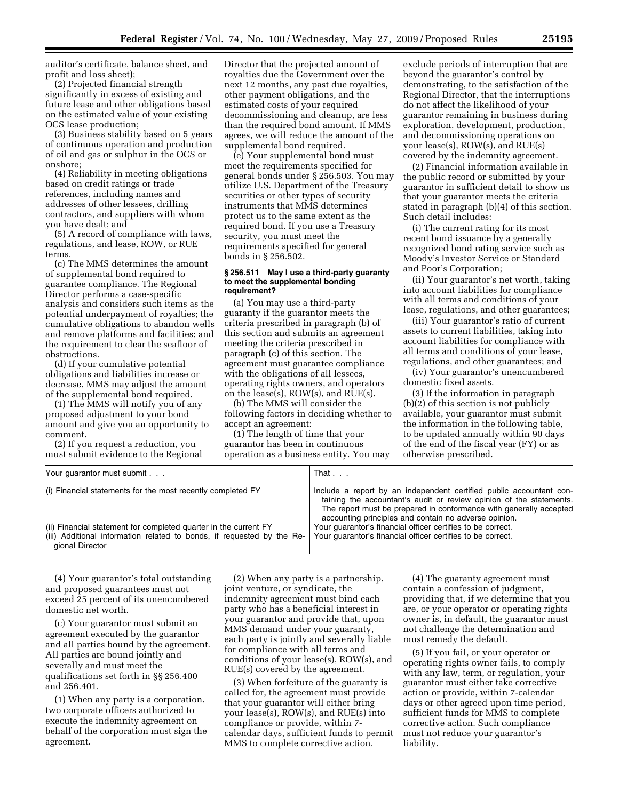auditor's certificate, balance sheet, and profit and loss sheet);

(2) Projected financial strength significantly in excess of existing and future lease and other obligations based on the estimated value of your existing OCS lease production;

(3) Business stability based on 5 years of continuous operation and production of oil and gas or sulphur in the OCS or onshore;

(4) Reliability in meeting obligations based on credit ratings or trade references, including names and addresses of other lessees, drilling contractors, and suppliers with whom you have dealt; and

(5) A record of compliance with laws, regulations, and lease, ROW, or RUE terms.

(c) The MMS determines the amount of supplemental bond required to guarantee compliance. The Regional Director performs a case-specific analysis and considers such items as the potential underpayment of royalties; the cumulative obligations to abandon wells and remove platforms and facilities; and the requirement to clear the seafloor of obstructions.

(d) If your cumulative potential obligations and liabilities increase or decrease, MMS may adjust the amount of the supplemental bond required.

(1) The MMS will notify you of any proposed adjustment to your bond amount and give you an opportunity to comment.

(2) If you request a reduction, you must submit evidence to the Regional Director that the projected amount of royalties due the Government over the next 12 months, any past due royalties, other payment obligations, and the estimated costs of your required decommissioning and cleanup, are less than the required bond amount. If MMS agrees, we will reduce the amount of the supplemental bond required.

(e) Your supplemental bond must meet the requirements specified for general bonds under § 256.503. You may utilize U.S. Department of the Treasury securities or other types of security instruments that MMS determines protect us to the same extent as the required bond. If you use a Treasury security, you must meet the requirements specified for general bonds in § 256.502.

#### **§ 256.511 May I use a third-party guaranty to meet the supplemental bonding requirement?**

(a) You may use a third-party guaranty if the guarantor meets the criteria prescribed in paragraph (b) of this section and submits an agreement meeting the criteria prescribed in paragraph (c) of this section. The agreement must guarantee compliance with the obligations of all lessees, operating rights owners, and operators on the lease(s), ROW(s), and RUE(s).

(b) The MMS will consider the following factors in deciding whether to accept an agreement:

(1) The length of time that your guarantor has been in continuous operation as a business entity. You may

exclude periods of interruption that are beyond the guarantor's control by demonstrating, to the satisfaction of the Regional Director, that the interruptions do not affect the likelihood of your guarantor remaining in business during exploration, development, production, and decommissioning operations on your lease(s), ROW(s), and RUE(s) covered by the indemnity agreement.

(2) Financial information available in the public record or submitted by your guarantor in sufficient detail to show us that your guarantor meets the criteria stated in paragraph (b)(4) of this section. Such detail includes:

(i) The current rating for its most recent bond issuance by a generally recognized bond rating service such as Moody's Investor Service or Standard and Poor's Corporation;

(ii) Your guarantor's net worth, taking into account liabilities for compliance with all terms and conditions of your lease, regulations, and other guarantees;

(iii) Your guarantor's ratio of current assets to current liabilities, taking into account liabilities for compliance with all terms and conditions of your lease, regulations, and other guarantees; and

(iv) Your guarantor's unencumbered domestic fixed assets.

(3) If the information in paragraph (b)(2) of this section is not publicly available, your guarantor must submit the information in the following table, to be updated annually within 90 days of the end of the fiscal year (FY) or as otherwise prescribed.

| Your guarantor must submit                                                                                                                                    | That $\ldots$                                                                                                                                                                                                                                                             |
|---------------------------------------------------------------------------------------------------------------------------------------------------------------|---------------------------------------------------------------------------------------------------------------------------------------------------------------------------------------------------------------------------------------------------------------------------|
| (i) Financial statements for the most recently completed FY                                                                                                   | Include a report by an independent certified public accountant con-<br>taining the accountant's audit or review opinion of the statements.<br>The report must be prepared in conformance with generally accepted<br>accounting principles and contain no adverse opinion. |
| (ii) Financial statement for completed quarter in the current FY<br>(iii) Additional information related to bonds, if requested by the Re-<br>gional Director | Your quarantor's financial officer certifies to be correct.<br>Your guarantor's financial officer certifies to be correct.                                                                                                                                                |

(4) Your guarantor's total outstanding and proposed guarantees must not exceed 25 percent of its unencumbered domestic net worth.

(c) Your guarantor must submit an agreement executed by the guarantor and all parties bound by the agreement. All parties are bound jointly and severally and must meet the qualifications set forth in §§ 256.400 and 256.401.

(1) When any party is a corporation, two corporate officers authorized to execute the indemnity agreement on behalf of the corporation must sign the agreement.

(2) When any party is a partnership, joint venture, or syndicate, the indemnity agreement must bind each party who has a beneficial interest in your guarantor and provide that, upon MMS demand under your guaranty, each party is jointly and severally liable for compliance with all terms and conditions of your lease(s), ROW(s), and RUE(s) covered by the agreement.

(3) When forfeiture of the guaranty is called for, the agreement must provide that your guarantor will either bring your lease(s), ROW(s), and RUE(s) into compliance or provide, within 7 calendar days, sufficient funds to permit MMS to complete corrective action.

(4) The guaranty agreement must contain a confession of judgment, providing that, if we determine that you are, or your operator or operating rights owner is, in default, the guarantor must not challenge the determination and must remedy the default.

(5) If you fail, or your operator or operating rights owner fails, to comply with any law, term, or regulation, your guarantor must either take corrective action or provide, within 7-calendar days or other agreed upon time period, sufficient funds for MMS to complete corrective action. Such compliance must not reduce your guarantor's liability.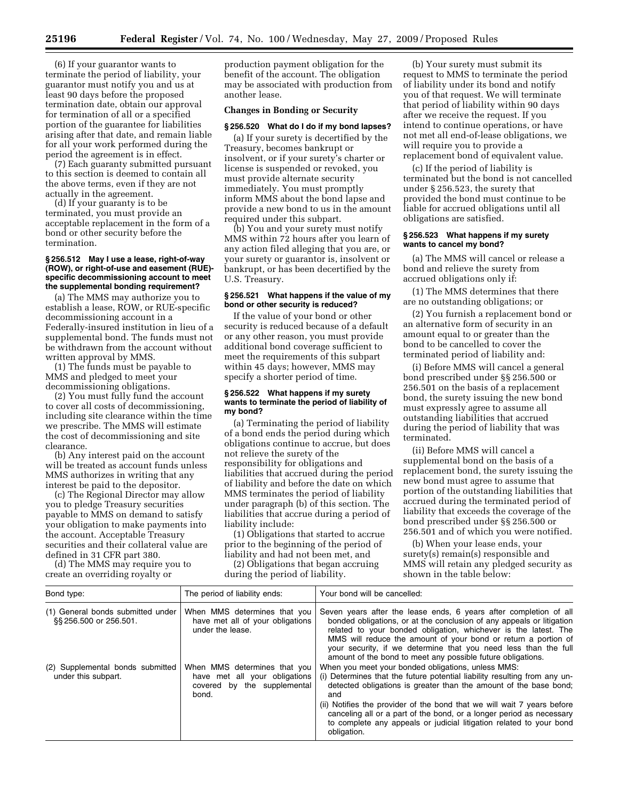(6) If your guarantor wants to terminate the period of liability, your guarantor must notify you and us at least 90 days before the proposed termination date, obtain our approval for termination of all or a specified portion of the guarantee for liabilities arising after that date, and remain liable for all your work performed during the period the agreement is in effect.

(7) Each guaranty submitted pursuant to this section is deemed to contain all the above terms, even if they are not actually in the agreement.

(d) If your guaranty is to be terminated, you must provide an acceptable replacement in the form of a bond or other security before the termination.

#### **§ 256.512 May I use a lease, right-of-way (ROW), or right-of-use and easement (RUE) specific decommissioning account to meet the supplemental bonding requirement?**

(a) The MMS may authorize you to establish a lease, ROW, or RUE-specific decommissioning account in a Federally-insured institution in lieu of a supplemental bond. The funds must not be withdrawn from the account without written approval by MMS.

(1) The funds must be payable to MMS and pledged to meet your decommissioning obligations.

(2) You must fully fund the account to cover all costs of decommissioning, including site clearance within the time we prescribe. The MMS will estimate the cost of decommissioning and site clearance.

(b) Any interest paid on the account will be treated as account funds unless MMS authorizes in writing that any interest be paid to the depositor.

(c) The Regional Director may allow you to pledge Treasury securities payable to MMS on demand to satisfy your obligation to make payments into the account. Acceptable Treasury securities and their collateral value are defined in 31 CFR part 380.

(d) The MMS may require you to create an overriding royalty or

production payment obligation for the benefit of the account. The obligation may be associated with production from another lease.

# **Changes in Bonding or Security**

#### **§ 256.520 What do I do if my bond lapses?**

(a) If your surety is decertified by the Treasury, becomes bankrupt or insolvent, or if your surety's charter or license is suspended or revoked, you must provide alternate security immediately. You must promptly inform MMS about the bond lapse and provide a new bond to us in the amount required under this subpart.

(b) You and your surety must notify MMS within 72 hours after you learn of any action filed alleging that you are, or your surety or guarantor is, insolvent or bankrupt, or has been decertified by the U.S. Treasury.

## **§ 256.521 What happens if the value of my bond or other security is reduced?**

If the value of your bond or other security is reduced because of a default or any other reason, you must provide additional bond coverage sufficient to meet the requirements of this subpart within 45 days; however, MMS may specify a shorter period of time.

#### **§ 256.522 What happens if my surety wants to terminate the period of liability of my bond?**

(a) Terminating the period of liability of a bond ends the period during which obligations continue to accrue, but does not relieve the surety of the responsibility for obligations and liabilities that accrued during the period of liability and before the date on which MMS terminates the period of liability under paragraph (b) of this section. The liabilities that accrue during a period of liability include:

(1) Obligations that started to accrue prior to the beginning of the period of liability and had not been met, and

(2) Obligations that began accruing during the period of liability.

(b) Your surety must submit its request to MMS to terminate the period of liability under its bond and notify you of that request. We will terminate that period of liability within 90 days after we receive the request. If you intend to continue operations, or have not met all end-of-lease obligations, we will require you to provide a replacement bond of equivalent value.

(c) If the period of liability is terminated but the bond is not cancelled under § 256.523, the surety that provided the bond must continue to be liable for accrued obligations until all obligations are satisfied.

#### **§ 256.523 What happens if my surety wants to cancel my bond?**

(a) The MMS will cancel or release a bond and relieve the surety from accrued obligations only if:

(1) The MMS determines that there are no outstanding obligations; or

(2) You furnish a replacement bond or an alternative form of security in an amount equal to or greater than the bond to be cancelled to cover the terminated period of liability and:

(i) Before MMS will cancel a general bond prescribed under §§ 256.500 or 256.501 on the basis of a replacement bond, the surety issuing the new bond must expressly agree to assume all outstanding liabilities that accrued during the period of liability that was terminated.

(ii) Before MMS will cancel a supplemental bond on the basis of a replacement bond, the surety issuing the new bond must agree to assume that portion of the outstanding liabilities that accrued during the terminated period of liability that exceeds the coverage of the bond prescribed under §§ 256.500 or 256.501 and of which you were notified.

(b) When your lease ends, your surety(s) remain(s) responsible and MMS will retain any pledged security as shown in the table below:

| Bond type:                                                  | The period of liability ends:                                                                         | Your bond will be cancelled:                                                                                                                                                                                                                                                                                                                                                                                                                         |
|-------------------------------------------------------------|-------------------------------------------------------------------------------------------------------|------------------------------------------------------------------------------------------------------------------------------------------------------------------------------------------------------------------------------------------------------------------------------------------------------------------------------------------------------------------------------------------------------------------------------------------------------|
| (1) General bonds submitted under<br>§§ 256.500 or 256.501. | When MMS determines that you<br>have met all of your obligations<br>under the lease.                  | Seven years after the lease ends, 6 years after completion of all<br>bonded obligations, or at the conclusion of any appeals or litigation<br>related to your bonded obligation, whichever is the latest. The<br>MMS will reduce the amount of your bond or return a portion of<br>vour security, if we determine that you need less than the full<br>amount of the bond to meet any possible future obligations.                                    |
| (2) Supplemental bonds submitted<br>under this subpart.     | When MMS determines that you<br>have met all your obligations<br>covered by the supplemental<br>bond. | When you meet your bonded obligations, unless MMS:<br>(i) Determines that the future potential liability resulting from any un-<br>detected obligations is greater than the amount of the base bond;<br>and<br>(ii) Notifies the provider of the bond that we will wait 7 years before<br>canceling all or a part of the bond, or a longer period as necessary<br>to complete any appeals or judicial litigation related to your bond<br>obligation. |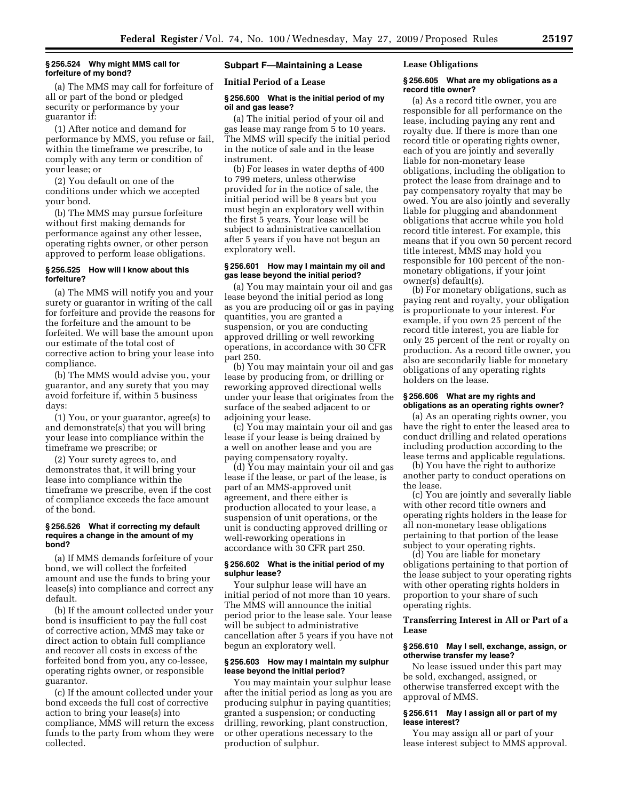#### **§ 256.524 Why might MMS call for forfeiture of my bond?**

(a) The MMS may call for forfeiture of all or part of the bond or pledged security or performance by your guarantor if:

(1) After notice and demand for performance by MMS, you refuse or fail, within the timeframe we prescribe, to comply with any term or condition of your lease; or

(2) You default on one of the conditions under which we accepted your bond.

(b) The MMS may pursue forfeiture without first making demands for performance against any other lessee, operating rights owner, or other person approved to perform lease obligations.

#### **§ 256.525 How will I know about this forfeiture?**

(a) The MMS will notify you and your surety or guarantor in writing of the call for forfeiture and provide the reasons for the forfeiture and the amount to be forfeited. We will base the amount upon our estimate of the total cost of corrective action to bring your lease into compliance.

(b) The MMS would advise you, your guarantor, and any surety that you may avoid forfeiture if, within 5 business days:

(1) You, or your guarantor, agree(s) to and demonstrate(s) that you will bring your lease into compliance within the timeframe we prescribe; or

(2) Your surety agrees to, and demonstrates that, it will bring your lease into compliance within the timeframe we prescribe, even if the cost of compliance exceeds the face amount of the bond.

## **§ 256.526 What if correcting my default requires a change in the amount of my bond?**

(a) If MMS demands forfeiture of your bond, we will collect the forfeited amount and use the funds to bring your lease(s) into compliance and correct any default.

(b) If the amount collected under your bond is insufficient to pay the full cost of corrective action, MMS may take or direct action to obtain full compliance and recover all costs in excess of the forfeited bond from you, any co-lessee, operating rights owner, or responsible guarantor.

(c) If the amount collected under your bond exceeds the full cost of corrective action to bring your lease(s) into compliance, MMS will return the excess funds to the party from whom they were collected.

# **Subpart F—Maintaining a Lease**

**Initial Period of a Lease** 

## **§ 256.600 What is the initial period of my oil and gas lease?**

(a) The initial period of your oil and gas lease may range from 5 to 10 years. The MMS will specify the initial period in the notice of sale and in the lease instrument.

(b) For leases in water depths of 400 to 799 meters, unless otherwise provided for in the notice of sale, the initial period will be 8 years but you must begin an exploratory well within the first 5 years. Your lease will be subject to administrative cancellation after 5 years if you have not begun an exploratory well.

## **§ 256.601 How may I maintain my oil and gas lease beyond the initial period?**

(a) You may maintain your oil and gas lease beyond the initial period as long as you are producing oil or gas in paying quantities, you are granted a suspension, or you are conducting approved drilling or well reworking operations, in accordance with 30 CFR part 250.

(b) You may maintain your oil and gas lease by producing from, or drilling or reworking approved directional wells under your lease that originates from the surface of the seabed adjacent to or adjoining your lease.

(c) You may maintain your oil and gas lease if your lease is being drained by a well on another lease and you are paying compensatory royalty.

(d) You may maintain your oil and gas lease if the lease, or part of the lease, is part of an MMS-approved unit agreement, and there either is production allocated to your lease, a suspension of unit operations, or the unit is conducting approved drilling or well-reworking operations in accordance with 30 CFR part 250.

#### **§ 256.602 What is the initial period of my sulphur lease?**

Your sulphur lease will have an initial period of not more than 10 years. The MMS will announce the initial period prior to the lease sale. Your lease will be subject to administrative cancellation after 5 years if you have not begun an exploratory well.

#### **§ 256.603 How may I maintain my sulphur lease beyond the initial period?**

You may maintain your sulphur lease after the initial period as long as you are producing sulphur in paying quantities; granted a suspension; or conducting drilling, reworking, plant construction, or other operations necessary to the production of sulphur.

# **Lease Obligations**

#### **§ 256.605 What are my obligations as a record title owner?**

(a) As a record title owner, you are responsible for all performance on the lease, including paying any rent and royalty due. If there is more than one record title or operating rights owner, each of you are jointly and severally liable for non-monetary lease obligations, including the obligation to protect the lease from drainage and to pay compensatory royalty that may be owed. You are also jointly and severally liable for plugging and abandonment obligations that accrue while you hold record title interest. For example, this means that if you own 50 percent record title interest, MMS may hold you responsible for 100 percent of the nonmonetary obligations, if your joint owner(s) default(s).

(b) For monetary obligations, such as paying rent and royalty, your obligation is proportionate to your interest. For example, if you own 25 percent of the record title interest, you are liable for only 25 percent of the rent or royalty on production. As a record title owner, you also are secondarily liable for monetary obligations of any operating rights holders on the lease.

#### **§ 256.606 What are my rights and obligations as an operating rights owner?**

(a) As an operating rights owner, you have the right to enter the leased area to conduct drilling and related operations including production according to the lease terms and applicable regulations.

(b) You have the right to authorize another party to conduct operations on the lease.

(c) You are jointly and severally liable with other record title owners and operating rights holders in the lease for all non-monetary lease obligations pertaining to that portion of the lease subject to your operating rights.

(d) You are liable for monetary obligations pertaining to that portion of the lease subject to your operating rights with other operating rights holders in proportion to your share of such operating rights.

# **Transferring Interest in All or Part of a Lease**

# **§ 256.610 May I sell, exchange, assign, or otherwise transfer my lease?**

No lease issued under this part may be sold, exchanged, assigned, or otherwise transferred except with the approval of MMS.

# **§ 256.611 May I assign all or part of my lease interest?**

You may assign all or part of your lease interest subject to MMS approval.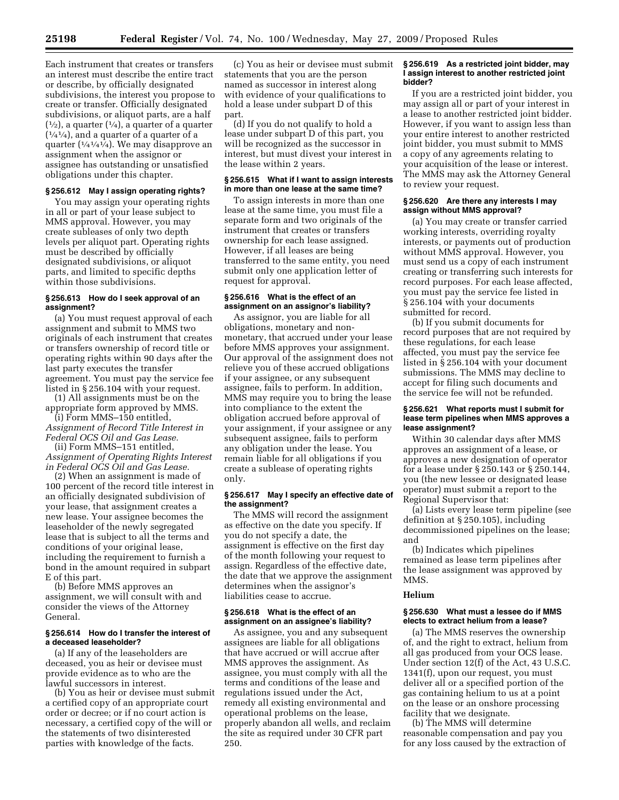Each instrument that creates or transfers an interest must describe the entire tract or describe, by officially designated subdivisions, the interest you propose to create or transfer. Officially designated subdivisions, or aliquot parts, are a half  $(1/2)$ , a quarter  $(1/4)$ , a quarter of a quarter  $(1/41/4)$ , and a quarter of a quarter of a quarter  $(1/41/41/4)$ . We may disapprove an assignment when the assignor or assignee has outstanding or unsatisfied obligations under this chapter.

#### **§ 256.612 May I assign operating rights?**

You may assign your operating rights in all or part of your lease subject to MMS approval. However, you may create subleases of only two depth levels per aliquot part. Operating rights must be described by officially designated subdivisions, or aliquot parts, and limited to specific depths within those subdivisions.

### **§ 256.613 How do I seek approval of an assignment?**

(a) You must request approval of each assignment and submit to MMS two originals of each instrument that creates or transfers ownership of record title or operating rights within 90 days after the last party executes the transfer agreement. You must pay the service fee listed in § 256.104 with your request.

(1) All assignments must be on the appropriate form approved by MMS.

(i) Form MMS–150 entitled, *Assignment of Record Title Interest in Federal OCS Oil and Gas Lease.* 

(ii) Form MMS–151 entitled, *Assignment of Operating Rights Interest in Federal OCS Oil and Gas Lease.* 

(2) When an assignment is made of 100 percent of the record title interest in an officially designated subdivision of your lease, that assignment creates a new lease. Your assignee becomes the leaseholder of the newly segregated lease that is subject to all the terms and conditions of your original lease, including the requirement to furnish a bond in the amount required in subpart E of this part.

(b) Before MMS approves an assignment, we will consult with and consider the views of the Attorney General.

# **§ 256.614 How do I transfer the interest of a deceased leaseholder?**

(a) If any of the leaseholders are deceased, you as heir or devisee must provide evidence as to who are the lawful successors in interest.

(b) You as heir or devisee must submit a certified copy of an appropriate court order or decree; or if no court action is necessary, a certified copy of the will or the statements of two disinterested parties with knowledge of the facts.

(c) You as heir or devisee must submit statements that you are the person named as successor in interest along with evidence of your qualifications to hold a lease under subpart D of this part.

(d) If you do not qualify to hold a lease under subpart D of this part, you will be recognized as the successor in interest, but must divest your interest in the lease within 2 years.

## **§ 256.615 What if I want to assign interests in more than one lease at the same time?**

To assign interests in more than one lease at the same time, you must file a separate form and two originals of the instrument that creates or transfers ownership for each lease assigned. However, if all leases are being transferred to the same entity, you need submit only one application letter of request for approval.

# **§ 256.616 What is the effect of an assignment on an assignor's liability?**

As assignor, you are liable for all obligations, monetary and nonmonetary, that accrued under your lease before MMS approves your assignment. Our approval of the assignment does not relieve you of these accrued obligations if your assignee, or any subsequent assignee, fails to perform. In addition, MMS may require you to bring the lease into compliance to the extent the obligation accrued before approval of your assignment, if your assignee or any subsequent assignee, fails to perform any obligation under the lease. You remain liable for all obligations if you create a sublease of operating rights only.

#### **§ 256.617 May I specify an effective date of the assignment?**

The MMS will record the assignment as effective on the date you specify. If you do not specify a date, the assignment is effective on the first day of the month following your request to assign. Regardless of the effective date, the date that we approve the assignment determines when the assignor's liabilities cease to accrue.

#### **§ 256.618 What is the effect of an assignment on an assignee's liability?**

As assignee, you and any subsequent assignees are liable for all obligations that have accrued or will accrue after MMS approves the assignment. As assignee, you must comply with all the terms and conditions of the lease and regulations issued under the Act, remedy all existing environmental and operational problems on the lease, properly abandon all wells, and reclaim the site as required under 30 CFR part 250.

#### **§ 256.619 As a restricted joint bidder, may I assign interest to another restricted joint bidder?**

If you are a restricted joint bidder, you may assign all or part of your interest in a lease to another restricted joint bidder. However, if you want to assign less than your entire interest to another restricted joint bidder, you must submit to MMS a copy of any agreements relating to your acquisition of the lease or interest. The MMS may ask the Attorney General to review your request.

## **§ 256.620 Are there any interests I may assign without MMS approval?**

(a) You may create or transfer carried working interests, overriding royalty interests, or payments out of production without MMS approval. However, you must send us a copy of each instrument creating or transferring such interests for record purposes. For each lease affected, you must pay the service fee listed in § 256.104 with your documents submitted for record.

(b) If you submit documents for record purposes that are not required by these regulations, for each lease affected, you must pay the service fee listed in § 256.104 with your document submissions. The MMS may decline to accept for filing such documents and the service fee will not be refunded.

#### **§ 256.621 What reports must I submit for lease term pipelines when MMS approves a lease assignment?**

Within 30 calendar days after MMS approves an assignment of a lease, or approves a new designation of operator for a lease under § 250.143 or § 250.144, you (the new lessee or designated lease operator) must submit a report to the Regional Supervisor that:

(a) Lists every lease term pipeline (see definition at § 250.105), including decommissioned pipelines on the lease; and

(b) Indicates which pipelines remained as lease term pipelines after the lease assignment was approved by MMS.

## **Helium**

## **§ 256.630 What must a lessee do if MMS elects to extract helium from a lease?**

(a) The MMS reserves the ownership of, and the right to extract, helium from all gas produced from your OCS lease. Under section 12(f) of the Act, 43 U.S.C. 1341(f), upon our request, you must deliver all or a specified portion of the gas containing helium to us at a point on the lease or an onshore processing facility that we designate.

(b) The MMS will determine reasonable compensation and pay you for any loss caused by the extraction of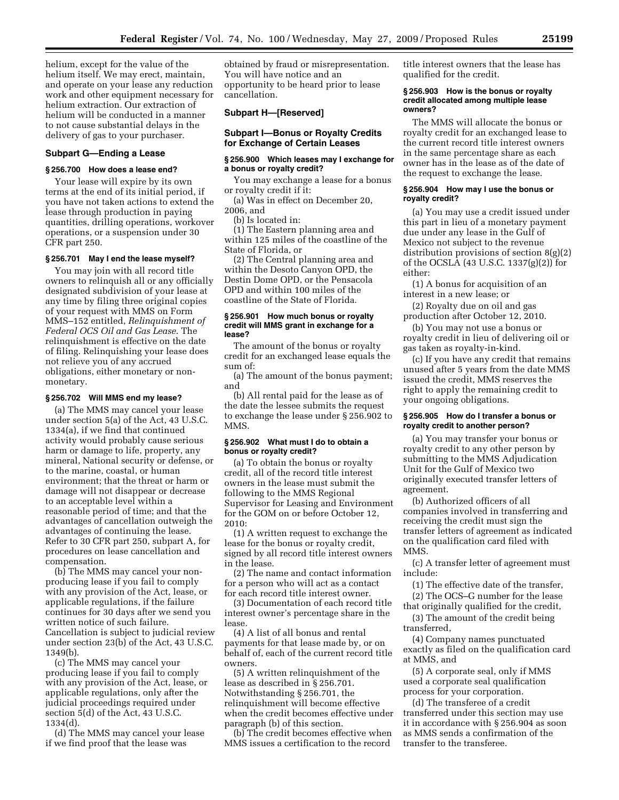helium, except for the value of the helium itself. We may erect, maintain, and operate on your lease any reduction work and other equipment necessary for helium extraction. Our extraction of helium will be conducted in a manner to not cause substantial delays in the delivery of gas to your purchaser.

# **Subpart G—Ending a Lease**

#### **§ 256.700 How does a lease end?**

Your lease will expire by its own terms at the end of its initial period, if you have not taken actions to extend the lease through production in paying quantities, drilling operations, workover operations, or a suspension under 30 CFR part 250.

#### **§ 256.701 May I end the lease myself?**

You may join with all record title owners to relinquish all or any officially designated subdivision of your lease at any time by filing three original copies of your request with MMS on Form MMS–152 entitled, *Relinquishment of Federal OCS Oil and Gas Lease*. The relinquishment is effective on the date of filing. Relinquishing your lease does not relieve you of any accrued obligations, either monetary or nonmonetary.

## **§ 256.702 Will MMS end my lease?**

(a) The MMS may cancel your lease under section 5(a) of the Act, 43 U.S.C. 1334(a), if we find that continued activity would probably cause serious harm or damage to life, property, any mineral, National security or defense, or to the marine, coastal, or human environment; that the threat or harm or damage will not disappear or decrease to an acceptable level within a reasonable period of time; and that the advantages of cancellation outweigh the advantages of continuing the lease. Refer to 30 CFR part 250, subpart A, for procedures on lease cancellation and compensation.

(b) The MMS may cancel your nonproducing lease if you fail to comply with any provision of the Act, lease, or applicable regulations, if the failure continues for 30 days after we send you written notice of such failure. Cancellation is subject to judicial review under section 23(b) of the Act, 43 U.S.C. 1349(b).

(c) The MMS may cancel your producing lease if you fail to comply with any provision of the Act, lease, or applicable regulations, only after the judicial proceedings required under section 5(d) of the Act, 43 U.S.C. 1334(d).

(d) The MMS may cancel your lease if we find proof that the lease was

obtained by fraud or misrepresentation. You will have notice and an opportunity to be heard prior to lease cancellation.

## **Subpart H—[Reserved]**

# **Subpart I—Bonus or Royalty Credits for Exchange of Certain Leases**

## **§ 256.900 Which leases may I exchange for a bonus or royalty credit?**

You may exchange a lease for a bonus or royalty credit if it:

(a) Was in effect on December 20, 2006, and

(b) Is located in:

(1) The Eastern planning area and within 125 miles of the coastline of the State of Florida, or

(2) The Central planning area and within the Desoto Canyon OPD, the Destin Dome OPD, or the Pensacola OPD and within 100 miles of the coastline of the State of Florida.

#### **§ 256.901 How much bonus or royalty credit will MMS grant in exchange for a lease?**

The amount of the bonus or royalty credit for an exchanged lease equals the sum of:

(a) The amount of the bonus payment; and

(b) All rental paid for the lease as of the date the lessee submits the request to exchange the lease under § 256.902 to MMS.

#### **§ 256.902 What must I do to obtain a bonus or royalty credit?**

(a) To obtain the bonus or royalty credit, all of the record title interest owners in the lease must submit the following to the MMS Regional Supervisor for Leasing and Environment for the GOM on or before October 12, 2010:

(1) A written request to exchange the lease for the bonus or royalty credit, signed by all record title interest owners in the lease.

(2) The name and contact information for a person who will act as a contact for each record title interest owner.

(3) Documentation of each record title interest owner's percentage share in the lease.

(4) A list of all bonus and rental payments for that lease made by, or on behalf of, each of the current record title owners.

(5) A written relinquishment of the lease as described in § 256.701. Notwithstanding § 256.701, the relinquishment will become effective when the credit becomes effective under paragraph (b) of this section.

(b) The credit becomes effective when MMS issues a certification to the record title interest owners that the lease has qualified for the credit.

#### **§ 256.903 How is the bonus or royalty credit allocated among multiple lease owners?**

The MMS will allocate the bonus or royalty credit for an exchanged lease to the current record title interest owners in the same percentage share as each owner has in the lease as of the date of the request to exchange the lease.

#### **§ 256.904 How may I use the bonus or royalty credit?**

(a) You may use a credit issued under this part in lieu of a monetary payment due under any lease in the Gulf of Mexico not subject to the revenue distribution provisions of section 8(g)(2) of the OCSLA (43 U.S.C. 1337(g)(2)) for either:

(1) A bonus for acquisition of an interest in a new lease; or

(2) Royalty due on oil and gas production after October 12, 2010.

(b) You may not use a bonus or royalty credit in lieu of delivering oil or gas taken as royalty-in-kind.

(c) If you have any credit that remains unused after 5 years from the date MMS issued the credit, MMS reserves the right to apply the remaining credit to your ongoing obligations.

### **§ 256.905 How do I transfer a bonus or royalty credit to another person?**

(a) You may transfer your bonus or royalty credit to any other person by submitting to the MMS Adjudication Unit for the Gulf of Mexico two originally executed transfer letters of agreement.

(b) Authorized officers of all companies involved in transferring and receiving the credit must sign the transfer letters of agreement as indicated on the qualification card filed with MMS.

(c) A transfer letter of agreement must include:

(1) The effective date of the transfer,

(2) The OCS–G number for the lease

that originally qualified for the credit, (3) The amount of the credit being

transferred,

(4) Company names punctuated exactly as filed on the qualification card at MMS, and

(5) A corporate seal, only if MMS used a corporate seal qualification process for your corporation.

(d) The transferee of a credit transferred under this section may use it in accordance with § 256.904 as soon as MMS sends a confirmation of the transfer to the transferee.